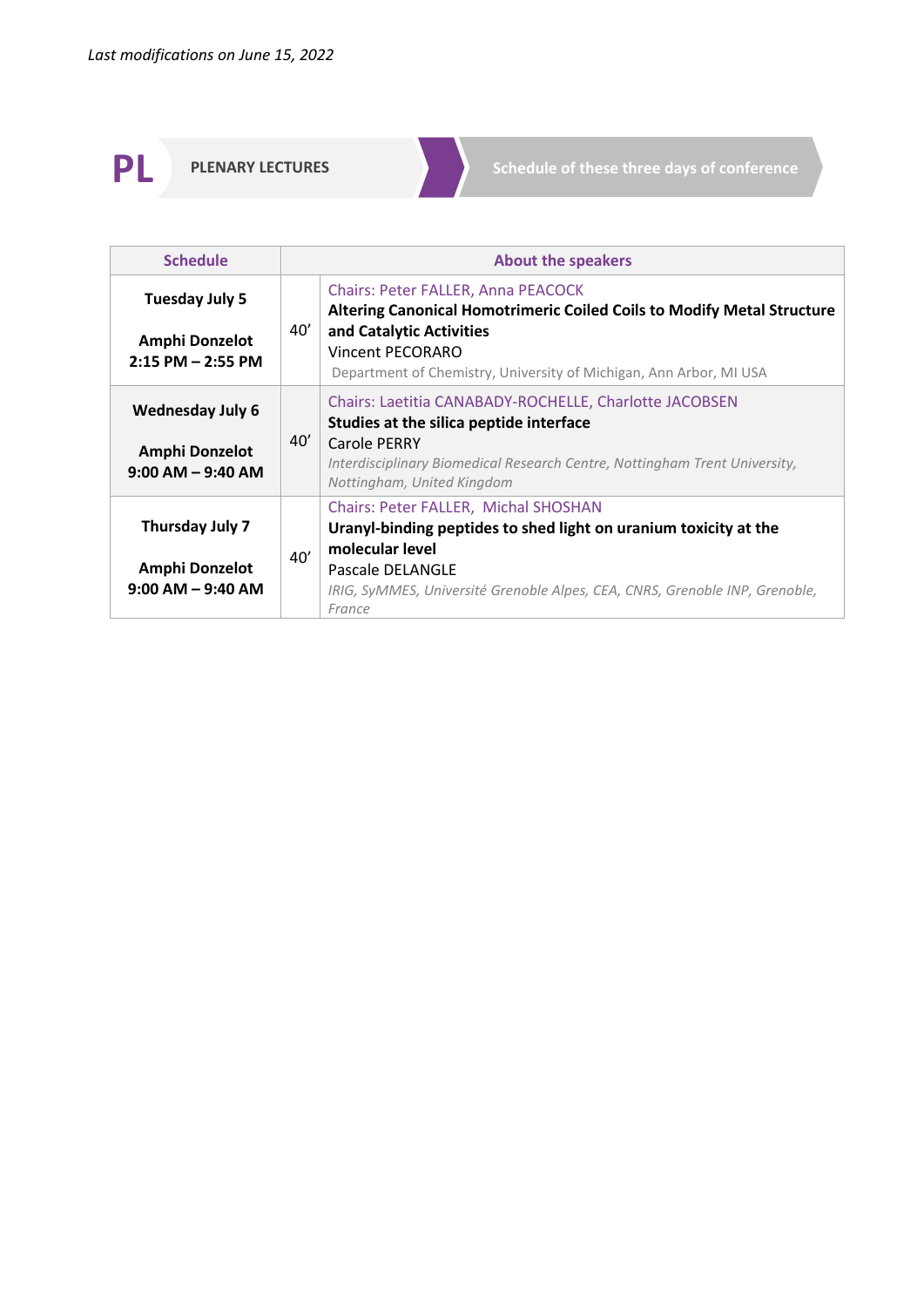**PLENARY LECTURES** Schedule of these three days of conference

| <b>Schedule</b>                                                          | <b>About the speakers</b>                                                                                                                                                                                                                               |
|--------------------------------------------------------------------------|---------------------------------------------------------------------------------------------------------------------------------------------------------------------------------------------------------------------------------------------------------|
| Tuesday July 5<br>Amphi Donzelot<br>$2:15$ PM $-$ 2:55 PM                | <b>Chairs: Peter FALLER, Anna PEACOCK</b><br><b>Altering Canonical Homotrimeric Coiled Coils to Modify Metal Structure</b><br>40'<br>and Catalytic Activities<br>Vincent PECORARO<br>Department of Chemistry, University of Michigan, Ann Arbor, MI USA |
| <b>Wednesday July 6</b><br><b>Amphi Donzelot</b><br>$9:00$ AM $-9:40$ AM | Chairs: Laetitia CANABADY-ROCHELLE, Charlotte JACOBSEN<br>Studies at the silica peptide interface<br>40'<br>Carole PERRY<br>Interdisciplinary Biomedical Research Centre, Nottingham Trent University,<br>Nottingham, United Kingdom                    |
| Thursday July 7<br>Amphi Donzelot<br>$9:00$ AM $-9:40$ AM                | Chairs: Peter FALLER, Michal SHOSHAN<br>Uranyl-binding peptides to shed light on uranium toxicity at the<br>molecular level<br>40'<br>Pascale DELANGLE<br>IRIG, SyMMES, Université Grenoble Alpes, CEA, CNRS, Grenoble INP, Grenoble,<br>France         |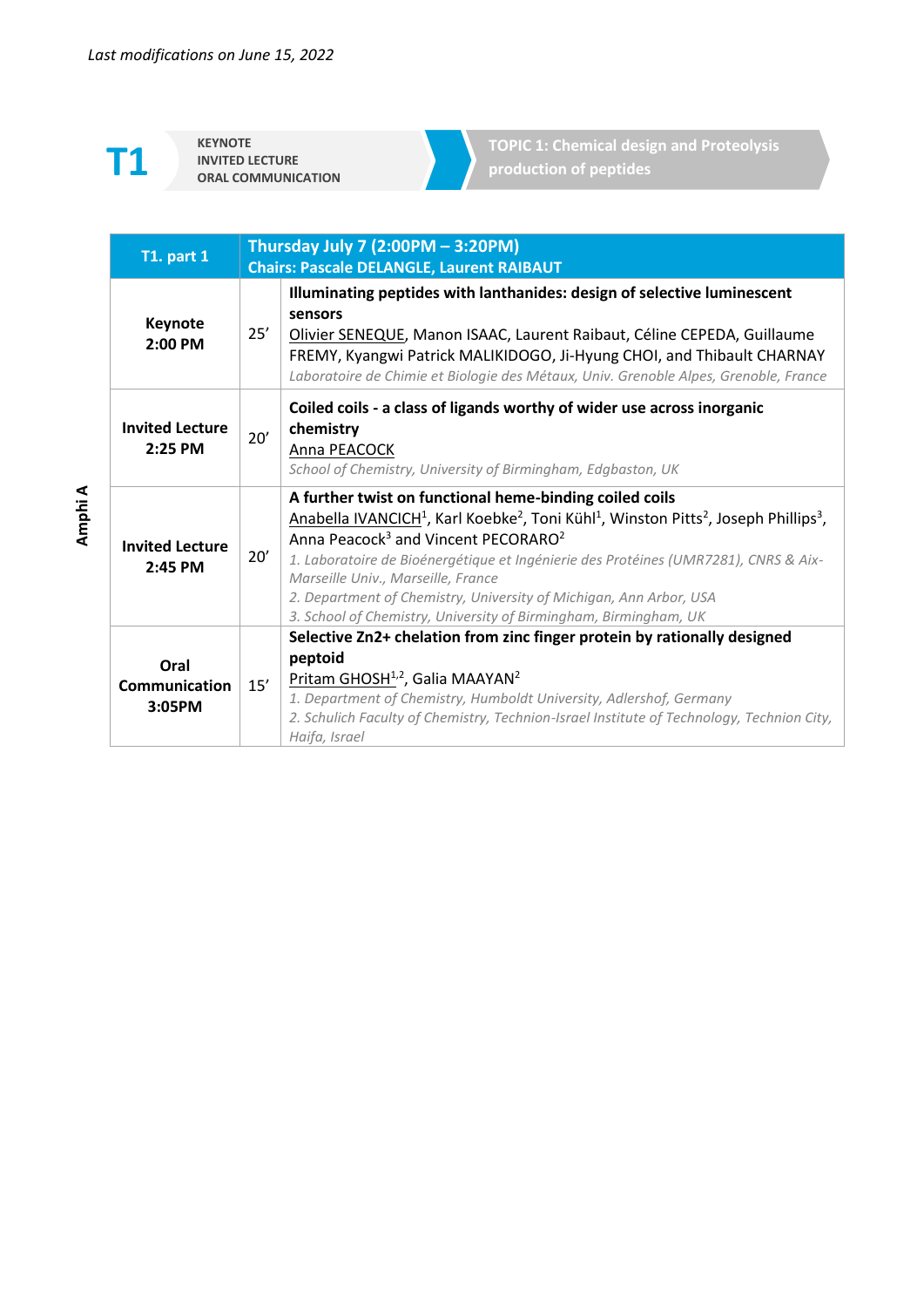**KEYNOTE INVITED LECTURE**  **TOPIC 1: Chemical design and Proteolysis production of peptides**

| <b>T1. part 1</b>                   | Thursday July 7 (2:00PM - 3:20PM)<br><b>Chairs: Pascale DELANGLE, Laurent RAIBAUT</b> |                                                                                                                                                                                                                                                                                                                                                                                                                                                                                                                                                   |
|-------------------------------------|---------------------------------------------------------------------------------------|---------------------------------------------------------------------------------------------------------------------------------------------------------------------------------------------------------------------------------------------------------------------------------------------------------------------------------------------------------------------------------------------------------------------------------------------------------------------------------------------------------------------------------------------------|
| Keynote<br>2:00 PM                  | 25'                                                                                   | Illuminating peptides with lanthanides: design of selective luminescent<br>sensors<br>Olivier SENEQUE, Manon ISAAC, Laurent Raibaut, Céline CEPEDA, Guillaume<br>FREMY, Kyangwi Patrick MALIKIDOGO, Ji-Hyung CHOI, and Thibault CHARNAY<br>Laboratoire de Chimie et Biologie des Métaux, Univ. Grenoble Alpes, Grenoble, France                                                                                                                                                                                                                   |
| <b>Invited Lecture</b><br>2:25 PM   | 20'                                                                                   | Coiled coils - a class of ligands worthy of wider use across inorganic<br>chemistry<br>Anna PEACOCK<br>School of Chemistry, University of Birmingham, Edgbaston, UK                                                                                                                                                                                                                                                                                                                                                                               |
| <b>Invited Lecture</b><br>$2:45$ PM | 20'                                                                                   | A further twist on functional heme-binding coiled coils<br>Anabella IVANCICH <sup>1</sup> , Karl Koebke <sup>2</sup> , Toni Kühl <sup>1</sup> , Winston Pitts <sup>2</sup> , Joseph Phillips <sup>3</sup> ,<br>Anna Peacock <sup>3</sup> and Vincent PECORARO <sup>2</sup><br>1. Laboratoire de Bioénergétique et Ingénierie des Protéines (UMR7281), CNRS & Aix-<br>Marseille Univ., Marseille, France<br>2. Department of Chemistry, University of Michigan, Ann Arbor, USA<br>3. School of Chemistry, University of Birmingham, Birmingham, UK |
| Oral<br>Communication<br>3:05PM     | 15'                                                                                   | Selective Zn2+ chelation from zinc finger protein by rationally designed<br>peptoid<br>Pritam GHOSH <sup>1,2</sup> , Galia MAAYAN <sup>2</sup><br>1. Department of Chemistry, Humboldt University, Adlershof, Germany<br>2. Schulich Faculty of Chemistry, Technion-Israel Institute of Technology, Technion City,<br>Haifa, Israel                                                                                                                                                                                                               |

**Amphi A**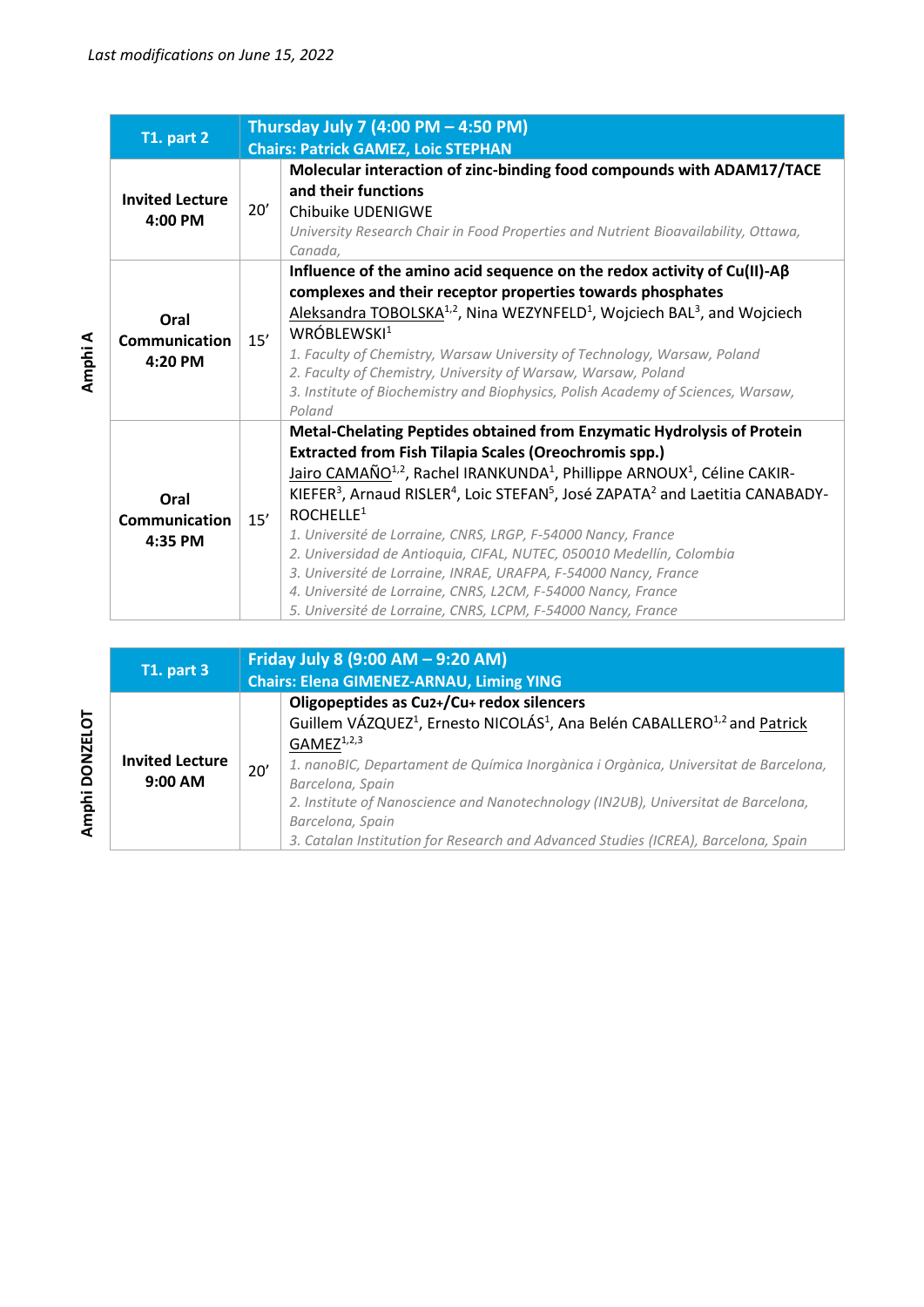|                                         |     | Thursday July 7 (4:00 PM - 4:50 PM)                                                                                                                                                                                                                                                                                                                                                                                                                                                                                                                                                                                                                                                                                                                        |
|-----------------------------------------|-----|------------------------------------------------------------------------------------------------------------------------------------------------------------------------------------------------------------------------------------------------------------------------------------------------------------------------------------------------------------------------------------------------------------------------------------------------------------------------------------------------------------------------------------------------------------------------------------------------------------------------------------------------------------------------------------------------------------------------------------------------------------|
| <b>T1. part 2</b>                       |     | <b>Chairs: Patrick GAMEZ, Loic STEPHAN</b>                                                                                                                                                                                                                                                                                                                                                                                                                                                                                                                                                                                                                                                                                                                 |
| <b>Invited Lecture</b><br>$4:00$ PM     | 20' | Molecular interaction of zinc-binding food compounds with ADAM17/TACE<br>and their functions<br>Chibuike UDENIGWE<br>University Research Chair in Food Properties and Nutrient Bioavailability, Ottawa,<br>Canada,                                                                                                                                                                                                                                                                                                                                                                                                                                                                                                                                         |
| Oral<br>Communication<br>4:20 PM        | 15' | Influence of the amino acid sequence on the redox activity of $Cu(II)-A\beta$<br>complexes and their receptor properties towards phosphates<br>Aleksandra TOBOLSKA <sup>1,2</sup> , Nina WEZYNFELD <sup>1</sup> , Wojciech BAL <sup>3</sup> , and Wojciech<br>WRÓBLEWSKI <sup>1</sup><br>1. Faculty of Chemistry, Warsaw University of Technology, Warsaw, Poland<br>2. Faculty of Chemistry, University of Warsaw, Warsaw, Poland<br>3. Institute of Biochemistry and Biophysics, Polish Academy of Sciences, Warsaw,<br>Poland                                                                                                                                                                                                                           |
| Oral<br><b>Communication</b><br>4:35 PM | 15' | Metal-Chelating Peptides obtained from Enzymatic Hydrolysis of Protein<br><b>Extracted from Fish Tilapia Scales (Oreochromis spp.)</b><br>Jairo CAMAÑO <sup>1,2</sup> , Rachel IRANKUNDA <sup>1</sup> , Phillippe ARNOUX <sup>1</sup> , Céline CAKIR-<br>KIEFER <sup>3</sup> , Arnaud RISLER <sup>4</sup> , Loic STEFAN <sup>5</sup> , José ZAPATA <sup>2</sup> and Laetitia CANABADY-<br>ROCHELLE <sup>1</sup><br>1. Université de Lorraine, CNRS, LRGP, F-54000 Nancy, France<br>2. Universidad de Antioquia, CIFAL, NUTEC, 050010 Medellín, Colombia<br>3. Université de Lorraine, INRAE, URAFPA, F-54000 Nancy, France<br>4. Université de Lorraine, CNRS, L2CM, F-54000 Nancy, France<br>5. Université de Lorraine, CNRS, LCPM, F-54000 Nancy, France |

| <b>T1. part 3</b>                   |     | Friday July 8 (9:00 AM - 9:20 AM)<br><b>Chairs: Elena GIMENEZ-ARNAU, Liming YING</b>                                                                                                                                                                                                                                                                                                                                                                                                   |  |
|-------------------------------------|-----|----------------------------------------------------------------------------------------------------------------------------------------------------------------------------------------------------------------------------------------------------------------------------------------------------------------------------------------------------------------------------------------------------------------------------------------------------------------------------------------|--|
| <b>Invited Lecture</b><br>$9:00$ AM | 20' | Oligopeptides as Cu2+/Cu+ redox silencers<br>Guillem VÁZQUEZ <sup>1</sup> , Ernesto NICOLÁS <sup>1</sup> , Ana Belén CABALLERO <sup>1,2</sup> and Patrick<br>$GAMEZ^{1,2,3}$<br>1. nanoBIC, Departament de Química Inorgànica i Orgànica, Universitat de Barcelona,<br>Barcelona, Spain<br>2. Institute of Nanoscience and Nanotechnology (IN2UB), Universitat de Barcelona,<br>Barcelona, Spain<br>3. Catalan Institution for Research and Advanced Studies (ICREA), Barcelona, Spain |  |

**Amphi A**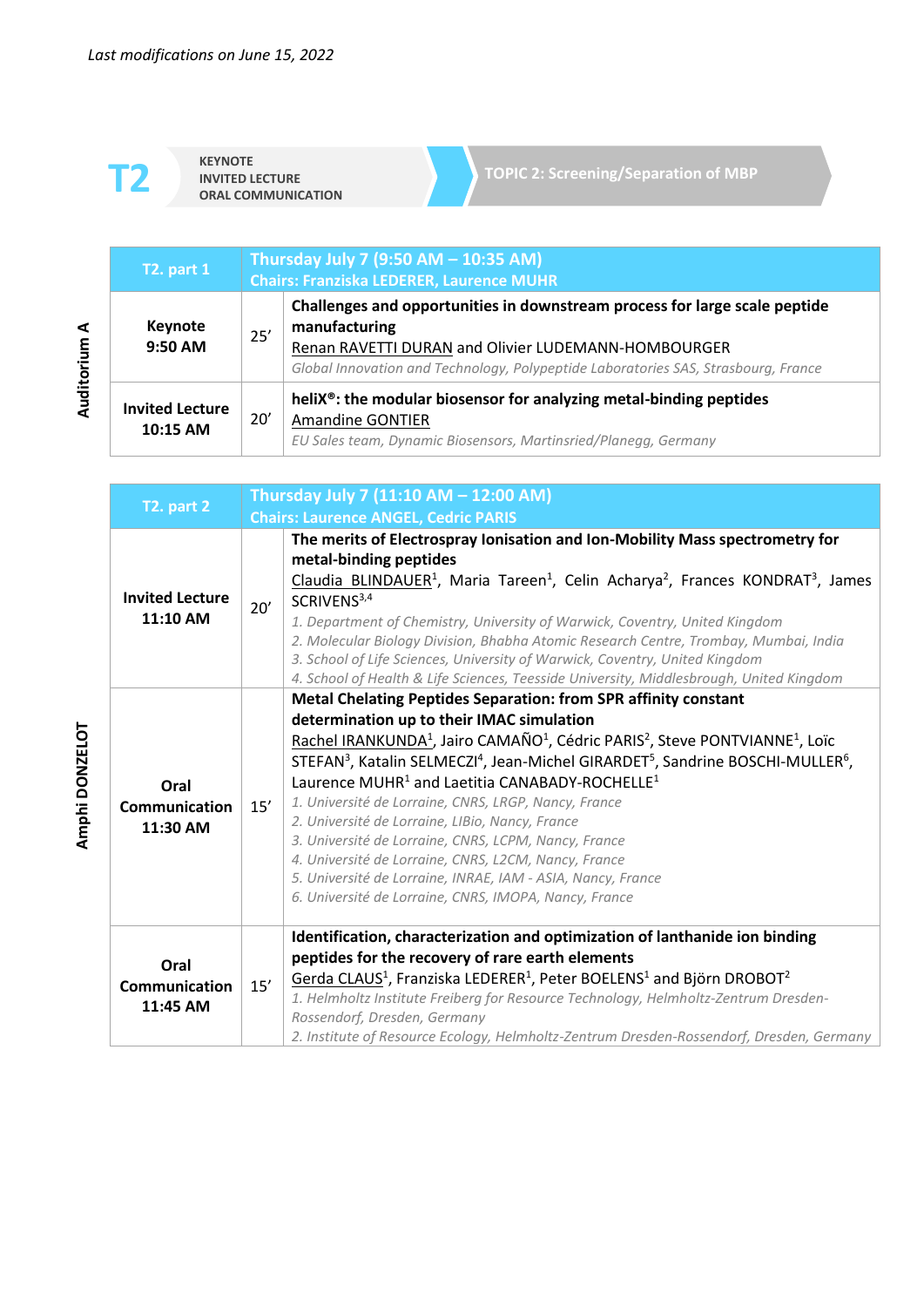**KEYNOTE INVITED LECTURE** 

| <b>T2. part 1</b>                  | Thursday July 7 (9:50 AM - 10:35 AM)<br><b>Chairs: Franziska LEDERER, Laurence MUHR</b> |                                                                                                                                                                                                                                          |
|------------------------------------|-----------------------------------------------------------------------------------------|------------------------------------------------------------------------------------------------------------------------------------------------------------------------------------------------------------------------------------------|
| Keynote<br>9:50 AM                 | 25'                                                                                     | Challenges and opportunities in downstream process for large scale peptide<br>manufacturing<br>Renan RAVETTI DURAN and Olivier LUDEMANN-HOMBOURGER<br>Global Innovation and Technology, Polypeptide Laboratories SAS, Strasbourg, France |
| <b>Invited Lecture</b><br>10:15 AM | 20'                                                                                     | heliX <sup>®</sup> : the modular biosensor for analyzing metal-binding peptides<br><b>Amandine GONTIER</b><br>EU Sales team, Dynamic Biosensors, Martinsried/Planegg, Germany                                                            |

| T2. part 2                               | Thursday July 7 (11:10 AM - 12:00 AM) |                                                                                                                                                                                                                                                                                                                                                                                                                                                                                                                                                                                                                                                                                                                                                                                                                                                                                                                |
|------------------------------------------|---------------------------------------|----------------------------------------------------------------------------------------------------------------------------------------------------------------------------------------------------------------------------------------------------------------------------------------------------------------------------------------------------------------------------------------------------------------------------------------------------------------------------------------------------------------------------------------------------------------------------------------------------------------------------------------------------------------------------------------------------------------------------------------------------------------------------------------------------------------------------------------------------------------------------------------------------------------|
| <b>Invited Lecture</b><br>11:10 AM       | 20'                                   | <b>Chairs: Laurence ANGEL, Cedric PARIS</b><br>The merits of Electrospray Ionisation and Ion-Mobility Mass spectrometry for<br>metal-binding peptides<br>Claudia BLINDAUER <sup>1</sup> , Maria Tareen <sup>1</sup> , Celin Acharya <sup>2</sup> , Frances KONDRAT <sup>3</sup> , James<br>SCRIVENS <sup>3,4</sup><br>1. Department of Chemistry, University of Warwick, Coventry, United Kingdom<br>2. Molecular Biology Division, Bhabha Atomic Research Centre, Trombay, Mumbai, India<br>3. School of Life Sciences, University of Warwick, Coventry, United Kingdom                                                                                                                                                                                                                                                                                                                                       |
| Oral<br><b>Communication</b><br>11:30 AM | 15'                                   | 4. School of Health & Life Sciences, Teesside University, Middlesbrough, United Kingdom<br><b>Metal Chelating Peptides Separation: from SPR affinity constant</b><br>determination up to their IMAC simulation<br>Rachel IRANKUNDA <sup>1</sup> , Jairo CAMAÑO <sup>1</sup> , Cédric PARIS <sup>2</sup> , Steve PONTVIANNE <sup>1</sup> , Loïc<br>STEFAN <sup>3</sup> , Katalin SELMECZI <sup>4</sup> , Jean-Michel GIRARDET <sup>5</sup> , Sandrine BOSCHI-MULLER <sup>6</sup> ,<br>Laurence MUHR <sup>1</sup> and Laetitia CANABADY-ROCHELLE <sup>1</sup><br>1. Université de Lorraine, CNRS, LRGP, Nancy, France<br>2. Université de Lorraine, LIBio, Nancy, France<br>3. Université de Lorraine, CNRS, LCPM, Nancy, France<br>4. Université de Lorraine, CNRS, L2CM, Nancy, France<br>5. Université de Lorraine, INRAE, IAM - ASIA, Nancy, France<br>6. Université de Lorraine, CNRS, IMOPA, Nancy, France |
| Oral<br>Communication<br>11:45 AM        | 15'                                   | Identification, characterization and optimization of lanthanide ion binding<br>peptides for the recovery of rare earth elements<br>Gerda CLAUS <sup>1</sup> , Franziska LEDERER <sup>1</sup> , Peter BOELENS <sup>1</sup> and Björn DROBOT <sup>2</sup><br>1. Helmholtz Institute Freiberg for Resource Technology, Helmholtz-Zentrum Dresden-<br>Rossendorf, Dresden, Germany<br>2. Institute of Resource Ecology, Helmholtz-Zentrum Dresden-Rossendorf, Dresden, Germany                                                                                                                                                                                                                                                                                                                                                                                                                                     |

Amphi DONZELOT **Amphi DONZELOT**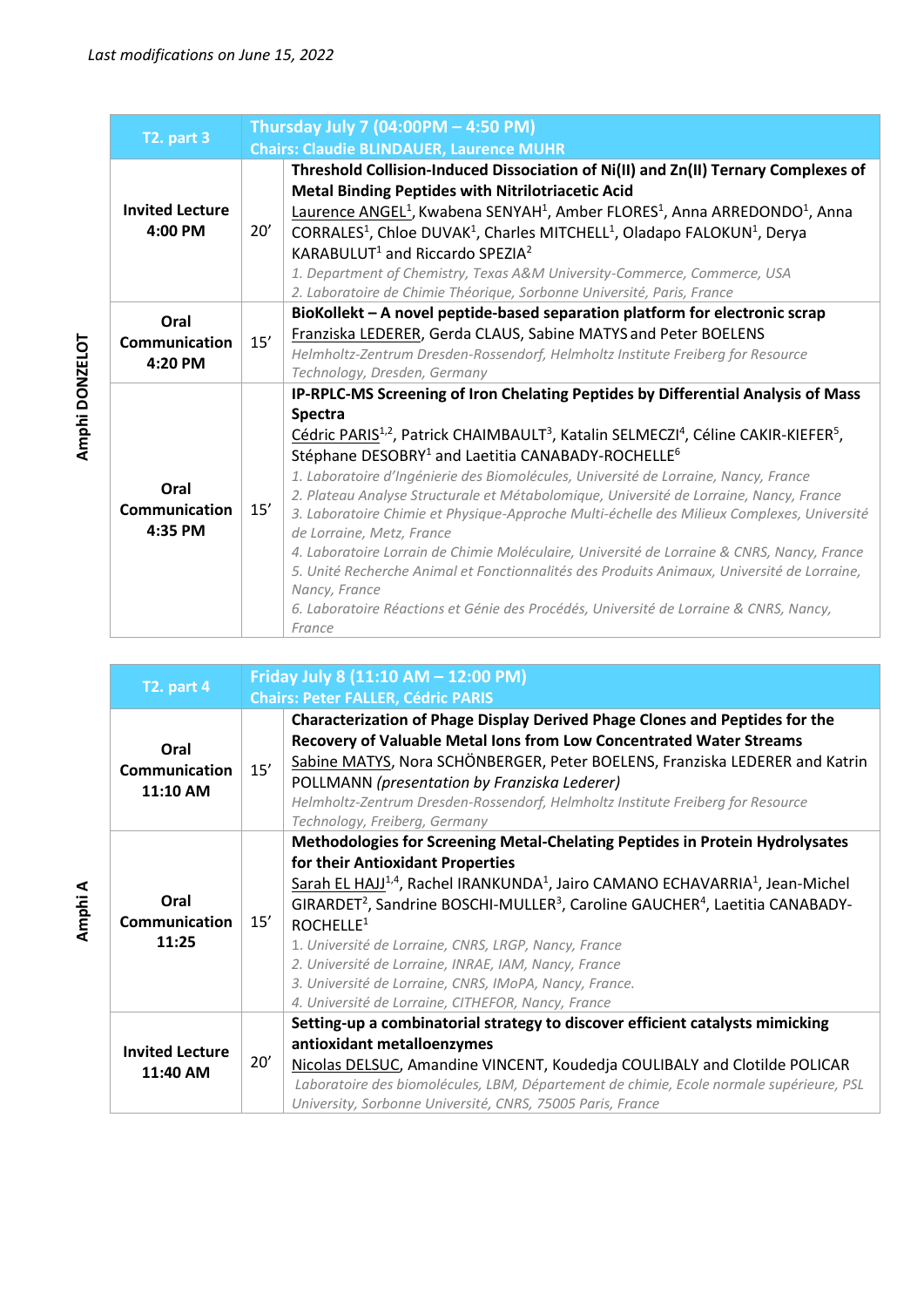| T2. part 3                        | Thursday July 7 (04:00PM - 4:50 PM) |                                                                                                                                                                                                                                                                                                                                                                                                                                                                                                                                                                                                                                                                                                                                                                                                                                                                                                                                                   |
|-----------------------------------|-------------------------------------|---------------------------------------------------------------------------------------------------------------------------------------------------------------------------------------------------------------------------------------------------------------------------------------------------------------------------------------------------------------------------------------------------------------------------------------------------------------------------------------------------------------------------------------------------------------------------------------------------------------------------------------------------------------------------------------------------------------------------------------------------------------------------------------------------------------------------------------------------------------------------------------------------------------------------------------------------|
|                                   |                                     | <b>Chairs: Claudie BLINDAUER, Laurence MUHR</b>                                                                                                                                                                                                                                                                                                                                                                                                                                                                                                                                                                                                                                                                                                                                                                                                                                                                                                   |
| <b>Invited Lecture</b><br>4:00 PM | 20'                                 | Threshold Collision-Induced Dissociation of Ni(II) and Zn(II) Ternary Complexes of<br><b>Metal Binding Peptides with Nitrilotriacetic Acid</b><br>Laurence ANGEL <sup>1</sup> , Kwabena SENYAH <sup>1</sup> , Amber FLORES <sup>1</sup> , Anna ARREDONDO <sup>1</sup> , Anna<br>CORRALES <sup>1</sup> , Chloe DUVAK <sup>1</sup> , Charles MITCHELL <sup>1</sup> , Oladapo FALOKUN <sup>1</sup> , Derya<br>KARABULUT <sup>1</sup> and Riccardo SPEZIA <sup>2</sup><br>1. Department of Chemistry, Texas A&M University-Commerce, Commerce, USA<br>2. Laboratoire de Chimie Théorique, Sorbonne Université, Paris, France                                                                                                                                                                                                                                                                                                                          |
| Oral<br>Communication<br>4:20 PM  | 15'                                 | BioKollekt - A novel peptide-based separation platform for electronic scrap<br>Franziska LEDERER, Gerda CLAUS, Sabine MATYS and Peter BOELENS<br>Helmholtz-Zentrum Dresden-Rossendorf, Helmholtz Institute Freiberg for Resource<br>Technology, Dresden, Germany                                                                                                                                                                                                                                                                                                                                                                                                                                                                                                                                                                                                                                                                                  |
| Oral<br>Communication<br>4:35 PM  | 15'                                 | IP-RPLC-MS Screening of Iron Chelating Peptides by Differential Analysis of Mass<br><b>Spectra</b><br>Cédric PARIS <sup>1,2</sup> , Patrick CHAIMBAULT <sup>3</sup> , Katalin SELMECZI <sup>4</sup> , Céline CAKIR-KIEFER <sup>5</sup> ,<br>Stéphane DESOBRY <sup>1</sup> and Laetitia CANABADY-ROCHELLE <sup>6</sup><br>1. Laboratoire d'Ingénierie des Biomolécules, Université de Lorraine, Nancy, France<br>2. Plateau Analyse Structurale et Métabolomique, Université de Lorraine, Nancy, France<br>3. Laboratoire Chimie et Physique-Approche Multi-échelle des Milieux Complexes, Université<br>de Lorraine, Metz, France<br>4. Laboratoire Lorrain de Chimie Moléculaire, Université de Lorraine & CNRS, Nancy, France<br>5. Unité Recherche Animal et Fonctionnalités des Produits Animaux, Université de Lorraine,<br>Nancy, France<br>6. Laboratoire Réactions et Génie des Procédés, Université de Lorraine & CNRS, Nancy,<br>France |

| T2. part 4                            | Friday July 8 (11:10 AM - 12:00 PM) |                                                                                                                                                                                                                                                                                                                                                                                                                                                                                                                                                                                                                           |
|---------------------------------------|-------------------------------------|---------------------------------------------------------------------------------------------------------------------------------------------------------------------------------------------------------------------------------------------------------------------------------------------------------------------------------------------------------------------------------------------------------------------------------------------------------------------------------------------------------------------------------------------------------------------------------------------------------------------------|
|                                       |                                     | <b>Chairs: Peter FALLER, Cédric PARIS</b>                                                                                                                                                                                                                                                                                                                                                                                                                                                                                                                                                                                 |
| Oral<br>Communication<br>11:10 AM     | 15'                                 | Characterization of Phage Display Derived Phage Clones and Peptides for the<br>Recovery of Valuable Metal Ions from Low Concentrated Water Streams<br>Sabine MATYS, Nora SCHÖNBERGER, Peter BOELENS, Franziska LEDERER and Katrin<br>POLLMANN (presentation by Franziska Lederer)<br>Helmholtz-Zentrum Dresden-Rossendorf, Helmholtz Institute Freiberg for Resource<br>Technology, Freiberg, Germany                                                                                                                                                                                                                     |
| Oral<br><b>Communication</b><br>11:25 | 15'                                 | <b>Methodologies for Screening Metal-Chelating Peptides in Protein Hydrolysates</b><br>for their Antioxidant Properties<br>Sarah EL HAJJ <sup>1,4</sup> , Rachel IRANKUNDA <sup>1</sup> , Jairo CAMANO ECHAVARRIA <sup>1</sup> , Jean-Michel<br>GIRARDET <sup>2</sup> , Sandrine BOSCHI-MULLER <sup>3</sup> , Caroline GAUCHER <sup>4</sup> , Laetitia CANABADY-<br>ROCHELLE <sup>1</sup><br>1. Université de Lorraine, CNRS, LRGP, Nancy, France<br>2. Université de Lorraine, INRAE, IAM, Nancy, France<br>3. Université de Lorraine, CNRS, IMoPA, Nancy, France.<br>4. Université de Lorraine, CITHEFOR, Nancy, France |
| <b>Invited Lecture</b><br>11:40 AM    | 20'                                 | Setting-up a combinatorial strategy to discover efficient catalysts mimicking<br>antioxidant metalloenzymes<br>Nicolas DELSUC, Amandine VINCENT, Koudedja COULIBALY and Clotilde POLICAR<br>Laboratoire des biomolécules, LBM, Département de chimie, Ecole normale supérieure, PSL<br>University, Sorbonne Université, CNRS, 75005 Paris, France                                                                                                                                                                                                                                                                         |

**A**<br>**Audit Condition in Figure** Amphi DONZELOT **Amphi DONZELOT**

**Amphi A**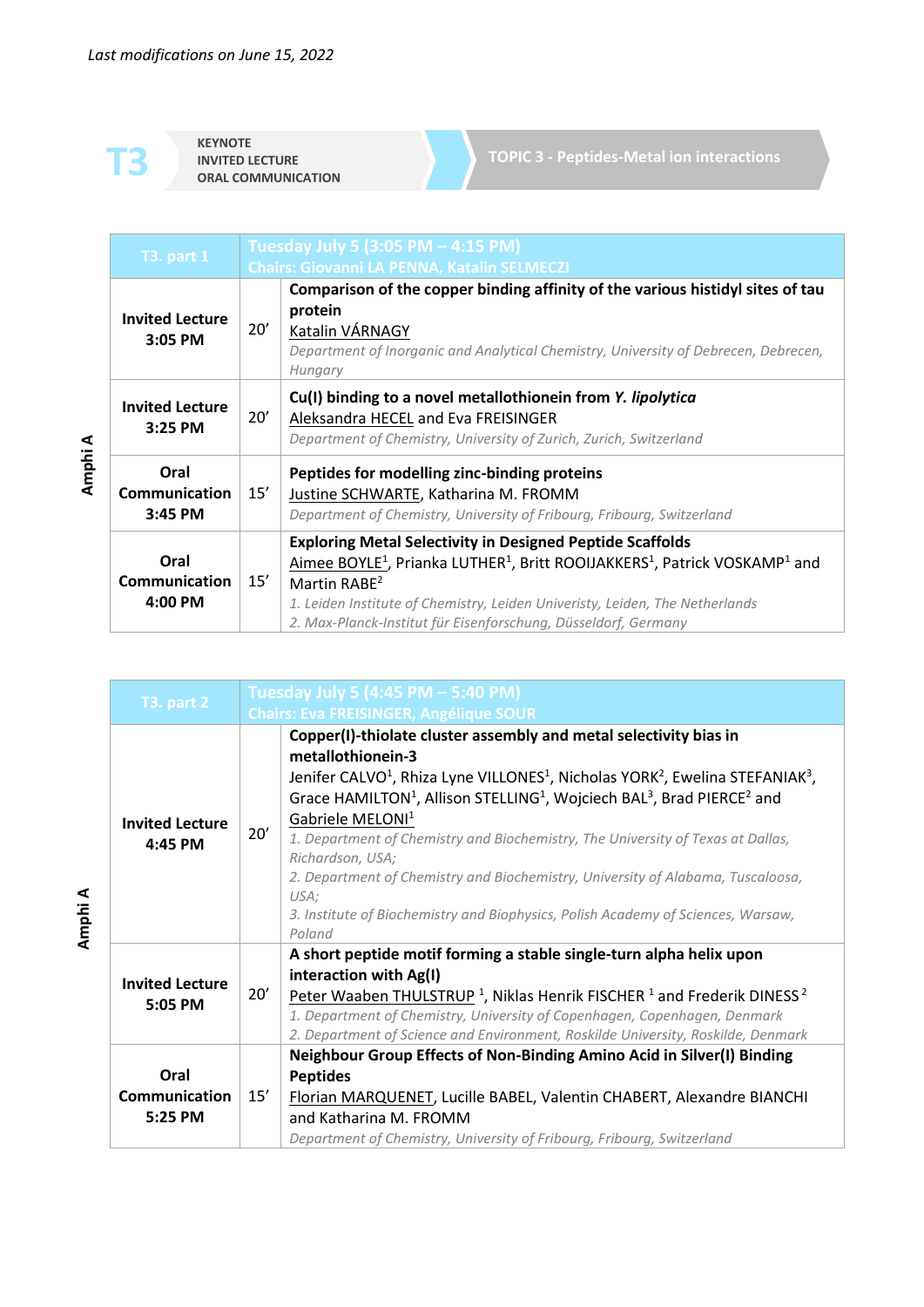**KEYNOTE INVITED LECTURE**<br> **CRAL COMMUNICATION** 

**TOPIC 3 - Peptides-Metal ion interactions**

| <b>T3. part 1</b>                         |     | Tuesday July 5 (3:05 PM - 4:15 PM)                                                                                                                                                                                                                                                                                                                                  |
|-------------------------------------------|-----|---------------------------------------------------------------------------------------------------------------------------------------------------------------------------------------------------------------------------------------------------------------------------------------------------------------------------------------------------------------------|
|                                           |     | <b>Chairs: Giovanni LA PENNA, Katalin SELMECZI</b>                                                                                                                                                                                                                                                                                                                  |
| <b>Invited Lecture</b><br>3:05 PM         | 20' | Comparison of the copper binding affinity of the various histidyl sites of tau<br>protein<br>Katalin VÁRNAGY<br>Department of Inorganic and Analytical Chemistry, University of Debrecen, Debrecen,<br>Hungary                                                                                                                                                      |
| <b>Invited Lecture</b><br>$3:25$ PM       | 20' | Cu(I) binding to a novel metallothionein from Y. lipolytica<br>Aleksandra HECEL and Eva FREISINGER<br>Department of Chemistry, University of Zurich, Zurich, Switzerland                                                                                                                                                                                            |
| Oral<br><b>Communication</b><br>$3:45$ PM | 15' | Peptides for modelling zinc-binding proteins<br>Justine SCHWARTE, Katharina M. FROMM<br>Department of Chemistry, University of Fribourg, Fribourg, Switzerland                                                                                                                                                                                                      |
| Oral<br>Communication<br>$4:00$ PM        | 15' | <b>Exploring Metal Selectivity in Designed Peptide Scaffolds</b><br>Aimee BOYLE <sup>1</sup> , Prianka LUTHER <sup>1</sup> , Britt ROOIJAKKERS <sup>1</sup> , Patrick VOSKAMP <sup>1</sup> and<br>Martin RABE $2$<br>1. Leiden Institute of Chemistry, Leiden Univeristy, Leiden, The Netherlands<br>2. Max-Planck-Institut für Eisenforschung, Düsseldorf, Germany |

| T3. part 2                              |     | Tuesday July 5 (4:45 PM - 5:40 PM)                                                                                                                                                                                                                                                                                                                                                                                                                                                                                                                                                                                                                                                |
|-----------------------------------------|-----|-----------------------------------------------------------------------------------------------------------------------------------------------------------------------------------------------------------------------------------------------------------------------------------------------------------------------------------------------------------------------------------------------------------------------------------------------------------------------------------------------------------------------------------------------------------------------------------------------------------------------------------------------------------------------------------|
|                                         |     | <b>Chairs: Eva FREISINGER, Angélique SOUR</b>                                                                                                                                                                                                                                                                                                                                                                                                                                                                                                                                                                                                                                     |
| <b>Invited Lecture</b><br>$4:45$ PM     | 20' | Copper(I)-thiolate cluster assembly and metal selectivity bias in<br>metallothionein-3<br>Jenifer CALVO <sup>1</sup> , Rhiza Lyne VILLONES <sup>1</sup> , Nicholas YORK <sup>2</sup> , Ewelina STEFANIAK <sup>3</sup> ,<br>Grace HAMILTON <sup>1</sup> , Allison STELLING <sup>1</sup> , Wojciech BAL <sup>3</sup> , Brad PIERCE <sup>2</sup> and<br>Gabriele MELONI <sup>1</sup><br>1. Department of Chemistry and Biochemistry, The University of Texas at Dallas,<br>Richardson, USA;<br>2. Department of Chemistry and Biochemistry, University of Alabama, Tuscaloosa,<br>USA;<br>3. Institute of Biochemistry and Biophysics, Polish Academy of Sciences, Warsaw,<br>Poland |
| <b>Invited Lecture</b><br>$5:05$ PM     | 20' | A short peptide motif forming a stable single-turn alpha helix upon<br>interaction with Ag(I)<br>Peter Waaben THULSTRUP <sup>1</sup> , Niklas Henrik FISCHER <sup>1</sup> and Frederik DINESS <sup>2</sup><br>1. Department of Chemistry, University of Copenhagen, Copenhagen, Denmark<br>2. Department of Science and Environment, Roskilde University, Roskilde, Denmark                                                                                                                                                                                                                                                                                                       |
| Oral<br><b>Communication</b><br>5:25 PM | 15' | Neighbour Group Effects of Non-Binding Amino Acid in Silver(I) Binding<br><b>Peptides</b><br>Florian MARQUENET, Lucille BABEL, Valentin CHABERT, Alexandre BIANCHI<br>and Katharina M. FROMM<br>Department of Chemistry, University of Fribourg, Fribourg, Switzerland                                                                                                                                                                                                                                                                                                                                                                                                            |

**Amphi A**

**Amphi**

**A**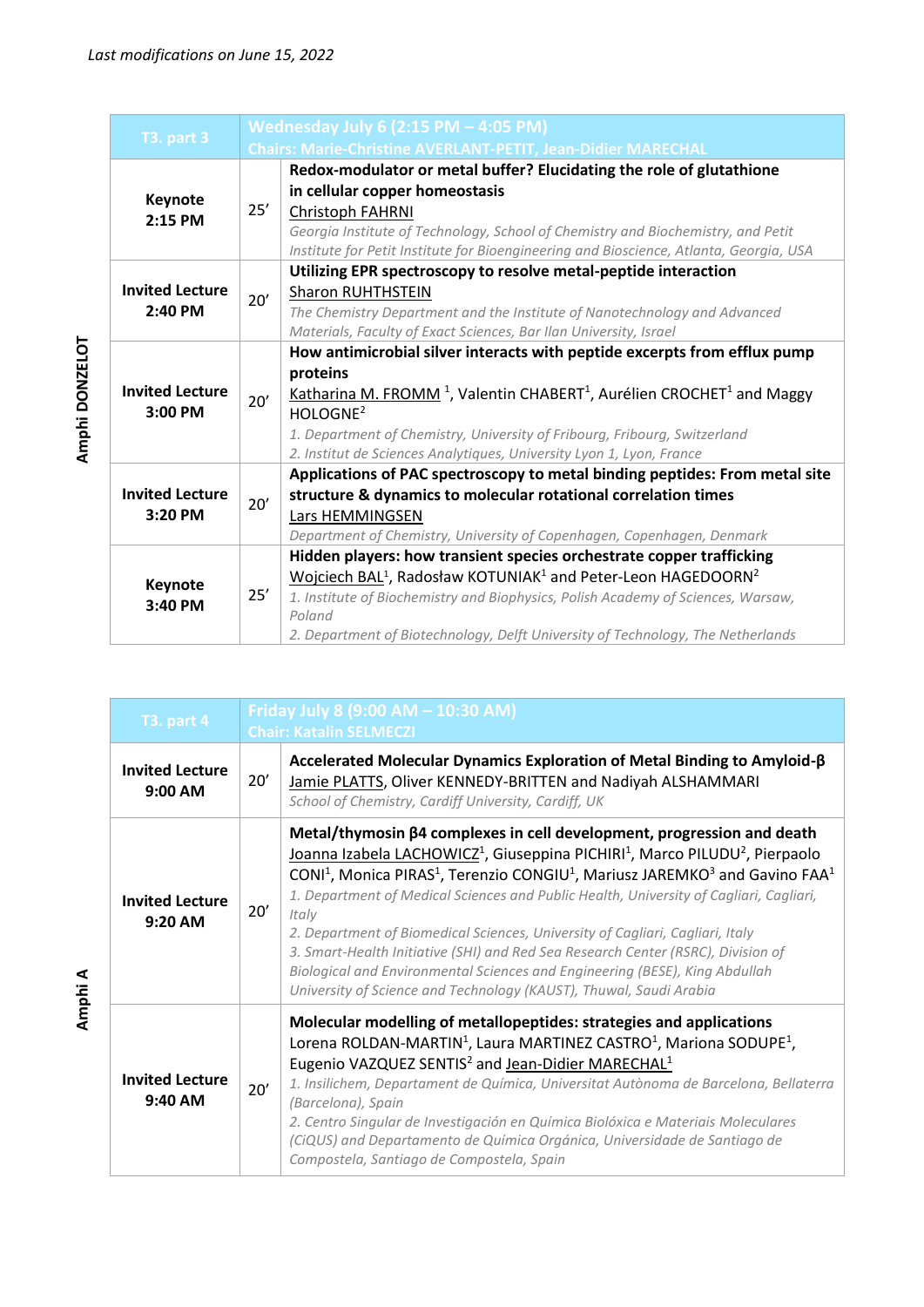| <b>T3. part 3</b>      |     | Wednesday July 6 (2:15 PM - 4:05 PM)<br><b>Chairs: Marie-Christine AVERLANT-PETIT, Jean-Didier MARECHAL</b> |  |
|------------------------|-----|-------------------------------------------------------------------------------------------------------------|--|
|                        |     |                                                                                                             |  |
|                        |     | Redox-modulator or metal buffer? Elucidating the role of glutathione                                        |  |
| Keynote                |     | in cellular copper homeostasis                                                                              |  |
| 2:15 PM                | 25' | Christoph FAHRNI                                                                                            |  |
|                        |     | Georgia Institute of Technology, School of Chemistry and Biochemistry, and Petit                            |  |
|                        |     | Institute for Petit Institute for Bioengineering and Bioscience, Atlanta, Georgia, USA                      |  |
|                        |     | Utilizing EPR spectroscopy to resolve metal-peptide interaction                                             |  |
| <b>Invited Lecture</b> |     | <b>Sharon RUHTHSTEIN</b>                                                                                    |  |
| 2:40 PM                | 20' | The Chemistry Department and the Institute of Nanotechnology and Advanced                                   |  |
|                        |     | Materials, Faculty of Exact Sciences, Bar Ilan University, Israel                                           |  |
|                        |     | How antimicrobial silver interacts with peptide excerpts from efflux pump                                   |  |
|                        |     | proteins                                                                                                    |  |
| <b>Invited Lecture</b> |     | Katharina M. FROMM <sup>1</sup> , Valentin CHABERT <sup>1</sup> , Aurélien CROCHET <sup>1</sup> and Maggy   |  |
| 3:00 PM                | 20' | HOLOGNE <sup>2</sup>                                                                                        |  |
|                        |     |                                                                                                             |  |
|                        |     | 1. Department of Chemistry, University of Fribourg, Fribourg, Switzerland                                   |  |
|                        |     | 2. Institut de Sciences Analytiques, University Lyon 1, Lyon, France                                        |  |
|                        |     | Applications of PAC spectroscopy to metal binding peptides: From metal site                                 |  |
| <b>Invited Lecture</b> | 20' | structure & dynamics to molecular rotational correlation times                                              |  |
| 3:20 PM                |     | Lars HEMMINGSEN                                                                                             |  |
|                        |     | Department of Chemistry, University of Copenhagen, Copenhagen, Denmark                                      |  |
|                        |     | Hidden players: how transient species orchestrate copper trafficking                                        |  |
|                        | 25' | Wojciech BAL <sup>1</sup> , Radosław KOTUNIAK <sup>1</sup> and Peter-Leon HAGEDOORN <sup>2</sup>            |  |
| Keynote<br>3:40 PM     |     | 1. Institute of Biochemistry and Biophysics, Polish Academy of Sciences, Warsaw,                            |  |
|                        |     | Poland                                                                                                      |  |
|                        |     | 2. Department of Biotechnology, Delft University of Technology, The Netherlands                             |  |

| <b>T3. part 4</b>                   | Friday July 8 (9:00 AM - 10:30 AM)<br><b>Chair: Katalin SELMECZI</b> |                                                                                                                                                                                                                                                                                                                                                                                                                                                                                                                                                                                                                                                                                                                                                                   |
|-------------------------------------|----------------------------------------------------------------------|-------------------------------------------------------------------------------------------------------------------------------------------------------------------------------------------------------------------------------------------------------------------------------------------------------------------------------------------------------------------------------------------------------------------------------------------------------------------------------------------------------------------------------------------------------------------------------------------------------------------------------------------------------------------------------------------------------------------------------------------------------------------|
| <b>Invited Lecture</b><br>9:00 AM   | 20'                                                                  | Accelerated Molecular Dynamics Exploration of Metal Binding to Amyloid-B<br>Jamie PLATTS, Oliver KENNEDY-BRITTEN and Nadiyah ALSHAMMARI<br>School of Chemistry, Cardiff University, Cardiff, UK                                                                                                                                                                                                                                                                                                                                                                                                                                                                                                                                                                   |
| <b>Invited Lecture</b><br>$9:20$ AM | 20'                                                                  | Metal/thymosin β4 complexes in cell development, progression and death<br>Joanna Izabela LACHOWICZ <sup>1</sup> , Giuseppina PICHIRI <sup>1</sup> , Marco PILUDU <sup>2</sup> , Pierpaolo<br>CONI <sup>1</sup> , Monica PIRAS <sup>1</sup> , Terenzio CONGIU <sup>1</sup> , Mariusz JAREMKO <sup>3</sup> and Gavino FAA <sup>1</sup><br>1. Department of Medical Sciences and Public Health, University of Cagliari, Cagliari,<br>Italy<br>2. Department of Biomedical Sciences, University of Cagliari, Cagliari, Italy<br>3. Smart-Health Initiative (SHI) and Red Sea Research Center (RSRC), Division of<br>Biological and Environmental Sciences and Engineering (BESE), King Abdullah<br>University of Science and Technology (KAUST), Thuwal, Saudi Arabia |
| <b>Invited Lecture</b><br>9:40 AM   | 20'                                                                  | Molecular modelling of metallopeptides: strategies and applications<br>Lorena ROLDAN-MARTIN <sup>1</sup> , Laura MARTINEZ CASTRO <sup>1</sup> , Mariona SODUPE <sup>1</sup> ,<br>Eugenio VAZQUEZ SENTIS <sup>2</sup> and Jean-Didier MARECHAL <sup>1</sup><br>1. Insilichem, Departament de Química, Universitat Autònoma de Barcelona, Bellaterra<br>(Barcelona), Spain<br>2. Centro Singular de Investigación en Química Biolóxica e Materiais Moleculares<br>(CiQUS) and Departamento de Química Orgánica, Universidade de Santiago de<br>Compostela, Santiago de Compostela, Spain                                                                                                                                                                            |

Amphi DONZELOT **Amphi DONZELOT**

**Amphi**

**A**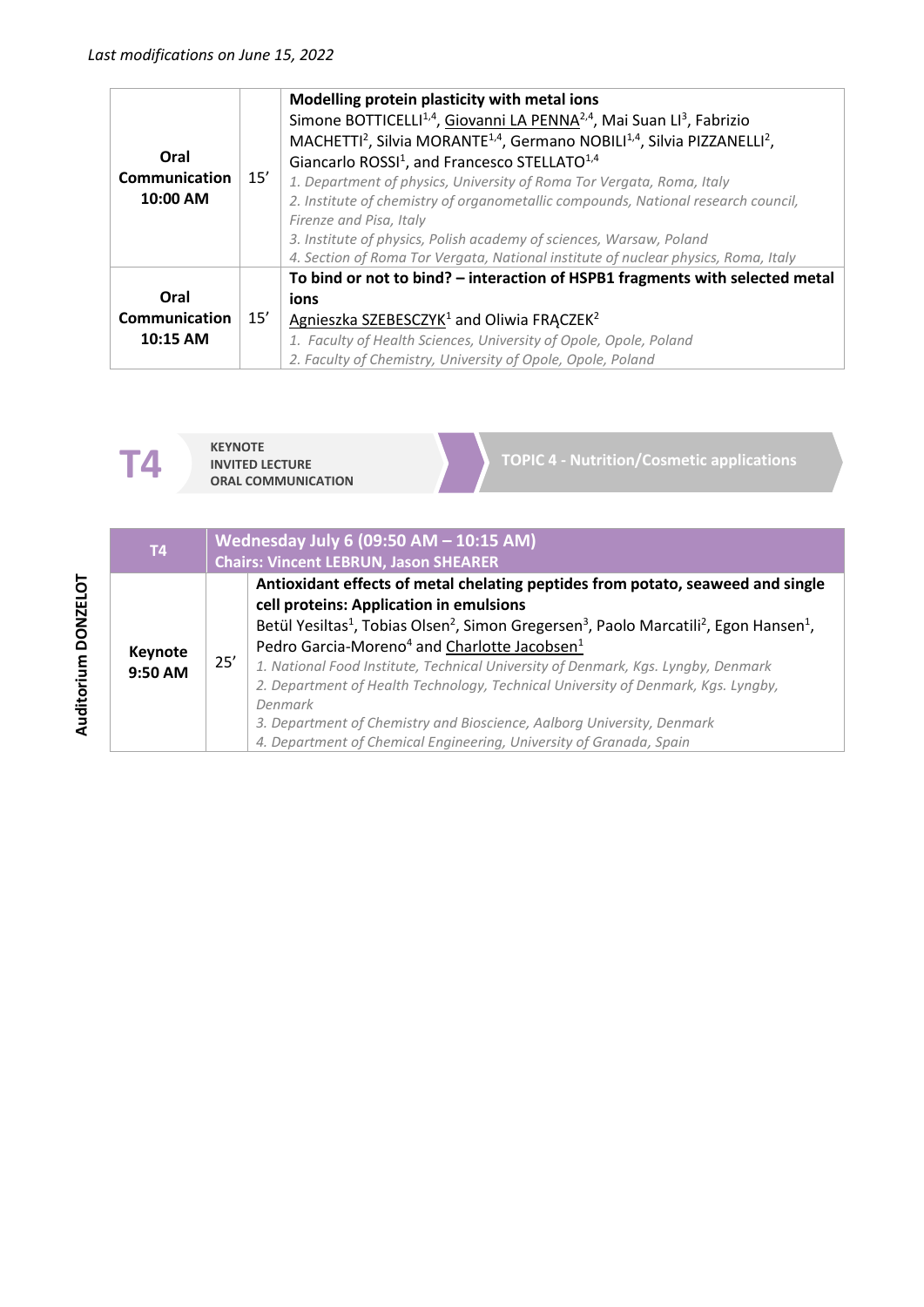| Oral<br><b>Communication</b><br>10:00 AM | 15' | Modelling protein plasticity with metal ions<br>Simone BOTTICELLI <sup>1,4</sup> , Giovanni LA PENNA <sup>2,4</sup> , Mai Suan LI <sup>3</sup> , Fabrizio<br>MACHETTI <sup>2</sup> , Silvia MORANTE <sup>1,4</sup> , Germano NOBILI <sup>1,4</sup> , Silvia PIZZANELLI <sup>2</sup> ,<br>Giancarlo ROSSI <sup>1</sup> , and Francesco STELLATO <sup>1,4</sup><br>1. Department of physics, University of Roma Tor Vergata, Roma, Italy<br>2. Institute of chemistry of organometallic compounds, National research council,<br>Firenze and Pisa, Italy<br>3. Institute of physics, Polish academy of sciences, Warsaw, Poland<br>4. Section of Roma Tor Vergata, National institute of nuclear physics, Roma, Italy |
|------------------------------------------|-----|---------------------------------------------------------------------------------------------------------------------------------------------------------------------------------------------------------------------------------------------------------------------------------------------------------------------------------------------------------------------------------------------------------------------------------------------------------------------------------------------------------------------------------------------------------------------------------------------------------------------------------------------------------------------------------------------------------------------|
| Oral                                     |     | To bind or not to bind? - interaction of HSPB1 fragments with selected metal<br>ions                                                                                                                                                                                                                                                                                                                                                                                                                                                                                                                                                                                                                                |
| Communication                            | 15' | Agnieszka SZEBESCZYK <sup>1</sup> and Oliwia FRACZEK <sup>2</sup>                                                                                                                                                                                                                                                                                                                                                                                                                                                                                                                                                                                                                                                   |
| 10:15 AM                                 |     | 1. Faculty of Health Sciences, University of Opole, Opole, Poland<br>2. Faculty of Chemistry, University of Opole, Opole, Poland                                                                                                                                                                                                                                                                                                                                                                                                                                                                                                                                                                                    |



| T <sub>4</sub>     |     | Wednesday July 6 (09:50 AM - 10:15 AM)<br><b>Chairs: Vincent LEBRUN, Jason SHEARER</b>                                                                                                                                                                                                                                                                                                                                                                                                                                                                                                                                                                                                         |  |  |
|--------------------|-----|------------------------------------------------------------------------------------------------------------------------------------------------------------------------------------------------------------------------------------------------------------------------------------------------------------------------------------------------------------------------------------------------------------------------------------------------------------------------------------------------------------------------------------------------------------------------------------------------------------------------------------------------------------------------------------------------|--|--|
| Keynote<br>9:50 AM | 25' | Antioxidant effects of metal chelating peptides from potato, seaweed and single<br>cell proteins: Application in emulsions<br>Betül Yesiltas <sup>1</sup> , Tobias Olsen <sup>2</sup> , Simon Gregersen <sup>3</sup> , Paolo Marcatili <sup>2</sup> , Egon Hansen <sup>1</sup> ,<br>Pedro Garcia-Moreno <sup>4</sup> and Charlotte Jacobsen <sup>1</sup><br>1. National Food Institute, Technical University of Denmark, Kgs. Lyngby, Denmark<br>2. Department of Health Technology, Technical University of Denmark, Kgs. Lyngby,<br>Denmark<br>3. Department of Chemistry and Bioscience, Aalborg University, Denmark<br>4. Department of Chemical Engineering, University of Granada, Spain |  |  |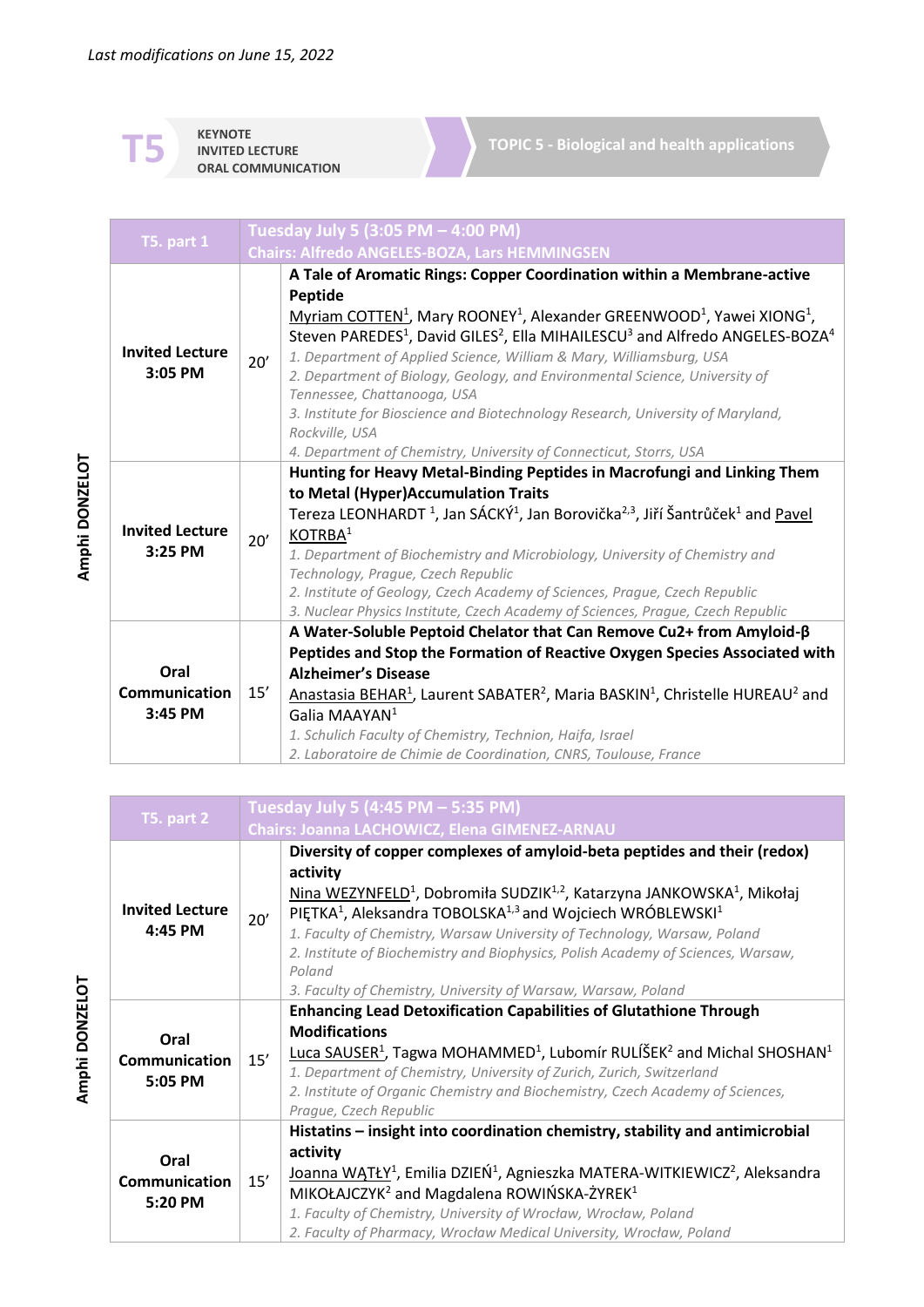**KEYNOTE INVITED LECTURE ORAL COMMUNICATION**

**TOPIC 5 - Biological and health applications**

| <b>T5. part 1</b>                   |     | Tuesday July 5 (3:05 PM - 4:00 PM)<br><b>Chairs: Alfredo ANGELES-BOZA, Lars HEMMINGSEN</b>                                                                                                                                                                                                                                                                                                                                                                                                                                                                                                                                                                                                                |  |  |
|-------------------------------------|-----|-----------------------------------------------------------------------------------------------------------------------------------------------------------------------------------------------------------------------------------------------------------------------------------------------------------------------------------------------------------------------------------------------------------------------------------------------------------------------------------------------------------------------------------------------------------------------------------------------------------------------------------------------------------------------------------------------------------|--|--|
| <b>Invited Lecture</b><br>$3:05$ PM | 20' | A Tale of Aromatic Rings: Copper Coordination within a Membrane-active<br>Peptide<br>Myriam COTTEN <sup>1</sup> , Mary ROONEY <sup>1</sup> , Alexander GREENWOOD <sup>1</sup> , Yawei XIONG <sup>1</sup> ,<br>Steven PAREDES <sup>1</sup> , David GILES <sup>2</sup> , Ella MIHAILESCU <sup>3</sup> and Alfredo ANGELES-BOZA <sup>4</sup><br>1. Department of Applied Science, William & Mary, Williamsburg, USA<br>2. Department of Biology, Geology, and Environmental Science, University of<br>Tennessee, Chattanooga, USA<br>3. Institute for Bioscience and Biotechnology Research, University of Maryland,<br>Rockville, USA<br>4. Department of Chemistry, University of Connecticut, Storrs, USA |  |  |
| <b>Invited Lecture</b><br>3:25 PM   | 20' | Hunting for Heavy Metal-Binding Peptides in Macrofungi and Linking Them<br>to Metal (Hyper)Accumulation Traits<br>Tereza LEONHARDT <sup>1</sup> , Jan SÁCKÝ <sup>1</sup> , Jan Borovička <sup>2,3</sup> , Jiří Šantrůček <sup>1</sup> and Pavel<br>KOTRBA <sup>1</sup><br>1. Department of Biochemistry and Microbiology, University of Chemistry and<br>Technology, Prague, Czech Republic<br>2. Institute of Geology, Czech Academy of Sciences, Prague, Czech Republic<br>3. Nuclear Physics Institute, Czech Academy of Sciences, Prague, Czech Republic                                                                                                                                              |  |  |
| Oral<br>Communication<br>3:45 PM    | 15' | A Water-Soluble Peptoid Chelator that Can Remove Cu2+ from Amyloid- $\beta$<br>Peptides and Stop the Formation of Reactive Oxygen Species Associated with<br><b>Alzheimer's Disease</b><br>Anastasia BEHAR <sup>1</sup> , Laurent SABATER <sup>2</sup> , Maria BASKIN <sup>1</sup> , Christelle HUREAU <sup>2</sup> and<br>Galia MAAYAN <sup>1</sup><br>1. Schulich Faculty of Chemistry, Technion, Haifa, Israel<br>2. Laboratoire de Chimie de Coordination, CNRS, Toulouse, France                                                                                                                                                                                                                     |  |  |

| T5. part 2                              | Tuesday July 5 (4:45 PM - 5:35 PM) |                                                                                                                                                                                                                                                                                                                                                                                                                                                                                                                                                |
|-----------------------------------------|------------------------------------|------------------------------------------------------------------------------------------------------------------------------------------------------------------------------------------------------------------------------------------------------------------------------------------------------------------------------------------------------------------------------------------------------------------------------------------------------------------------------------------------------------------------------------------------|
|                                         |                                    | Chairs: Joanna LACHOWICZ, Elena GIMENEZ-ARNAU                                                                                                                                                                                                                                                                                                                                                                                                                                                                                                  |
| <b>Invited Lecture</b><br>4:45 PM       | 20'                                | Diversity of copper complexes of amyloid-beta peptides and their (redox)<br>activity<br>Nina WEZYNFELD <sup>1</sup> , Dobromiła SUDZIK <sup>1,2</sup> , Katarzyna JANKOWSKA <sup>1</sup> , Mikołaj<br>PIETKA <sup>1</sup> , Aleksandra TOBOLSKA <sup>1,3</sup> and Wojciech WRÓBLEWSKI <sup>1</sup><br>1. Faculty of Chemistry, Warsaw University of Technology, Warsaw, Poland<br>2. Institute of Biochemistry and Biophysics, Polish Academy of Sciences, Warsaw,<br>Poland<br>3. Faculty of Chemistry, University of Warsaw, Warsaw, Poland |
| Oral<br><b>Communication</b><br>5:05 PM | 15'                                | <b>Enhancing Lead Detoxification Capabilities of Glutathione Through</b><br><b>Modifications</b><br>Luca SAUSER <sup>1</sup> , Tagwa MOHAMMED <sup>1</sup> , Lubomír RULÍŠEK <sup>2</sup> and Michal SHOSHAN <sup>1</sup><br>1. Department of Chemistry, University of Zurich, Zurich, Switzerland<br>2. Institute of Organic Chemistry and Biochemistry, Czech Academy of Sciences,<br>Prague, Czech Republic                                                                                                                                 |
| Oral<br>Communication<br>5:20 PM        | 15'                                | Histatins - insight into coordination chemistry, stability and antimicrobial<br>activity<br>Joanna WATŁY <sup>1</sup> , Emilia DZIEŃ <sup>1</sup> , Agnieszka MATERA-WITKIEWICZ <sup>2</sup> , Aleksandra<br>MIKOŁAJCZYK <sup>2</sup> and Magdalena ROWIŃSKA-ŻYREK <sup>1</sup><br>1. Faculty of Chemistry, University of Wrocław, Wrocław, Poland<br>2. Faculty of Pharmacy, Wrocław Medical University, Wrocław, Poland                                                                                                                      |

Amphi DONZELOT **Amphi DONZELOT**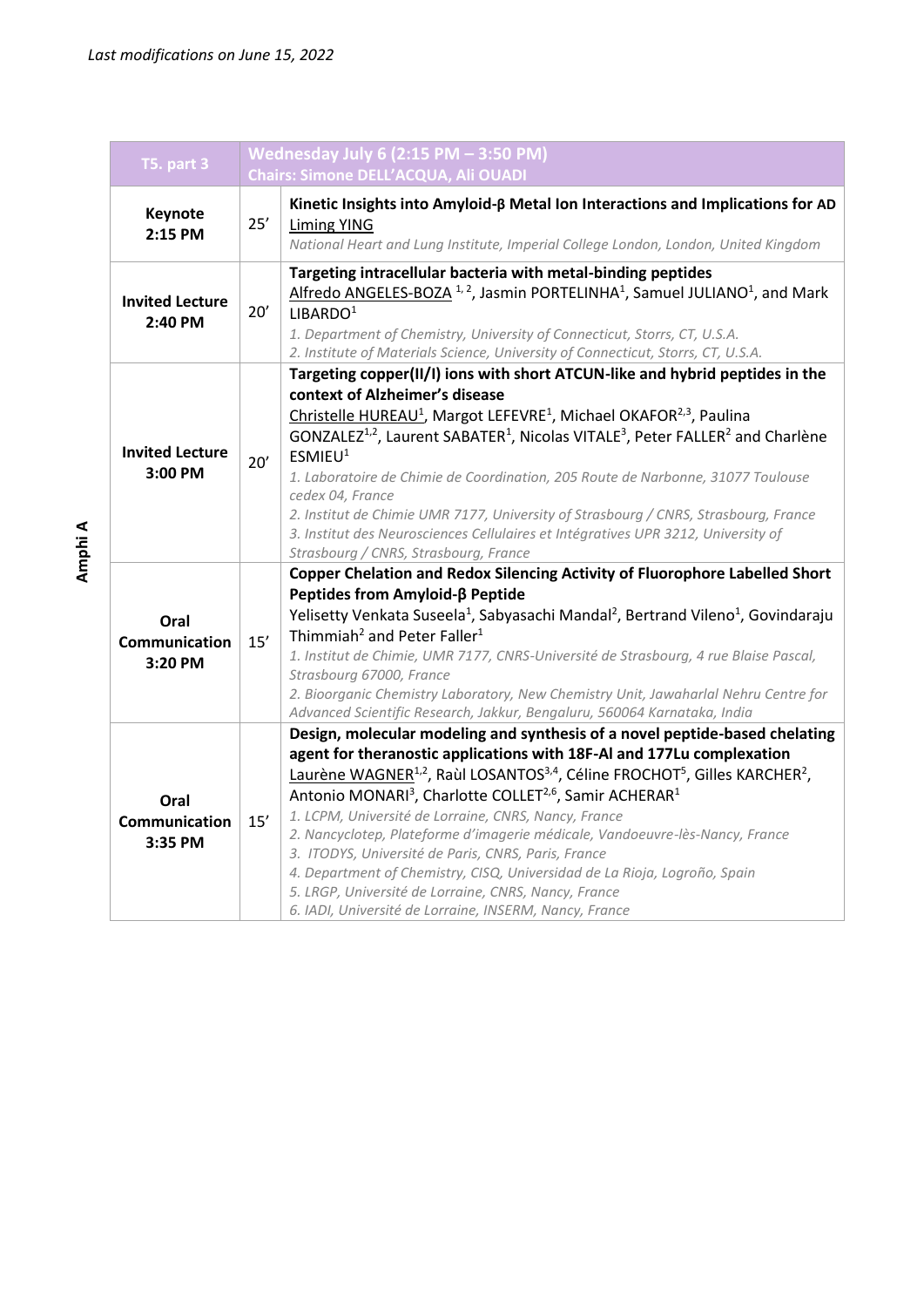| <b>T5. part 3</b>                 | Wednesday July 6 (2:15 PM - 3:50 PM)                                                                                                                                                                                                                                                                                                                                            |                                                                                                                                                                                                                                                                                                                                                                                                                                                                                                                                                                                                                                                                                                                                                                                |  |  |
|-----------------------------------|---------------------------------------------------------------------------------------------------------------------------------------------------------------------------------------------------------------------------------------------------------------------------------------------------------------------------------------------------------------------------------|--------------------------------------------------------------------------------------------------------------------------------------------------------------------------------------------------------------------------------------------------------------------------------------------------------------------------------------------------------------------------------------------------------------------------------------------------------------------------------------------------------------------------------------------------------------------------------------------------------------------------------------------------------------------------------------------------------------------------------------------------------------------------------|--|--|
|                                   |                                                                                                                                                                                                                                                                                                                                                                                 | <b>Chairs: Simone DELL'ACQUA, Ali OUADI</b>                                                                                                                                                                                                                                                                                                                                                                                                                                                                                                                                                                                                                                                                                                                                    |  |  |
| <b>Keynote</b><br>2:15 PM         | $25'$                                                                                                                                                                                                                                                                                                                                                                           | Kinetic Insights into Amyloid-B Metal Ion Interactions and Implications for AD<br>Liming YING<br>National Heart and Lung Institute, Imperial College London, London, United Kingdom                                                                                                                                                                                                                                                                                                                                                                                                                                                                                                                                                                                            |  |  |
| <b>Invited Lecture</b><br>2:40 PM | Targeting intracellular bacteria with metal-binding peptides<br>Alfredo ANGELES-BOZA <sup>1,2</sup> , Jasmin PORTELINHA <sup>1</sup> , Samuel JULIANO <sup>1</sup> , and Mark<br>$20'$<br>LIBARDO <sup>1</sup><br>1. Department of Chemistry, University of Connecticut, Storrs, CT, U.S.A.<br>2. Institute of Materials Science, University of Connecticut, Storrs, CT, U.S.A. |                                                                                                                                                                                                                                                                                                                                                                                                                                                                                                                                                                                                                                                                                                                                                                                |  |  |
| <b>Invited Lecture</b><br>3:00 PM | 20'                                                                                                                                                                                                                                                                                                                                                                             | Targeting copper(II/I) ions with short ATCUN-like and hybrid peptides in the<br>context of Alzheimer's disease<br>Christelle HUREAU <sup>1</sup> , Margot LEFEVRE <sup>1</sup> , Michael OKAFOR <sup>2,3</sup> , Paulina<br>GONZALEZ <sup>1,2</sup> , Laurent SABATER <sup>1</sup> , Nicolas VITALE <sup>3</sup> , Peter FALLER <sup>2</sup> and Charlène<br>ESMIEU <sup>1</sup><br>1. Laboratoire de Chimie de Coordination, 205 Route de Narbonne, 31077 Toulouse<br>cedex 04, France<br>2. Institut de Chimie UMR 7177, University of Strasbourg / CNRS, Strasbourg, France<br>3. Institut des Neurosciences Cellulaires et Intégratives UPR 3212, University of<br>Strasbourg / CNRS, Strasbourg, France                                                                   |  |  |
| Oral<br>Communication<br>3:20 PM  | 15'                                                                                                                                                                                                                                                                                                                                                                             | Copper Chelation and Redox Silencing Activity of Fluorophore Labelled Short<br>Peptides from Amyloid-ß Peptide<br>Yelisetty Venkata Suseela <sup>1</sup> , Sabyasachi Mandal <sup>2</sup> , Bertrand Vileno <sup>1</sup> , Govindaraju<br>Thimmiah <sup>2</sup> and Peter Faller <sup>1</sup><br>1. Institut de Chimie, UMR 7177, CNRS-Université de Strasbourg, 4 rue Blaise Pascal,<br>Strasbourg 67000, France<br>2. Bioorganic Chemistry Laboratory, New Chemistry Unit, Jawaharlal Nehru Centre for<br>Advanced Scientific Research, Jakkur, Bengaluru, 560064 Karnataka, India                                                                                                                                                                                           |  |  |
| Oral<br>Communication<br>3:35 PM  | 15'                                                                                                                                                                                                                                                                                                                                                                             | Design, molecular modeling and synthesis of a novel peptide-based chelating<br>agent for theranostic applications with 18F-Al and 177Lu complexation<br>Laurène WAGNER <sup>1,2</sup> , Raùl LOSANTOS <sup>3,4</sup> , Céline FROCHOT <sup>5</sup> , Gilles KARCHER <sup>2</sup> ,<br>Antonio MONARI <sup>3</sup> , Charlotte COLLET <sup>2,6</sup> , Samir ACHERAR <sup>1</sup><br>1. LCPM, Université de Lorraine, CNRS, Nancy, France<br>2. Nancyclotep, Plateforme d'imagerie médicale, Vandoeuvre-lès-Nancy, France<br>3. ITODYS, Université de Paris, CNRS, Paris, France<br>4. Department of Chemistry, CISQ, Universidad de La Rioja, Logroño, Spain<br>5. LRGP, Université de Lorraine, CNRS, Nancy, France<br>6. IADI, Université de Lorraine, INSERM, Nancy, France |  |  |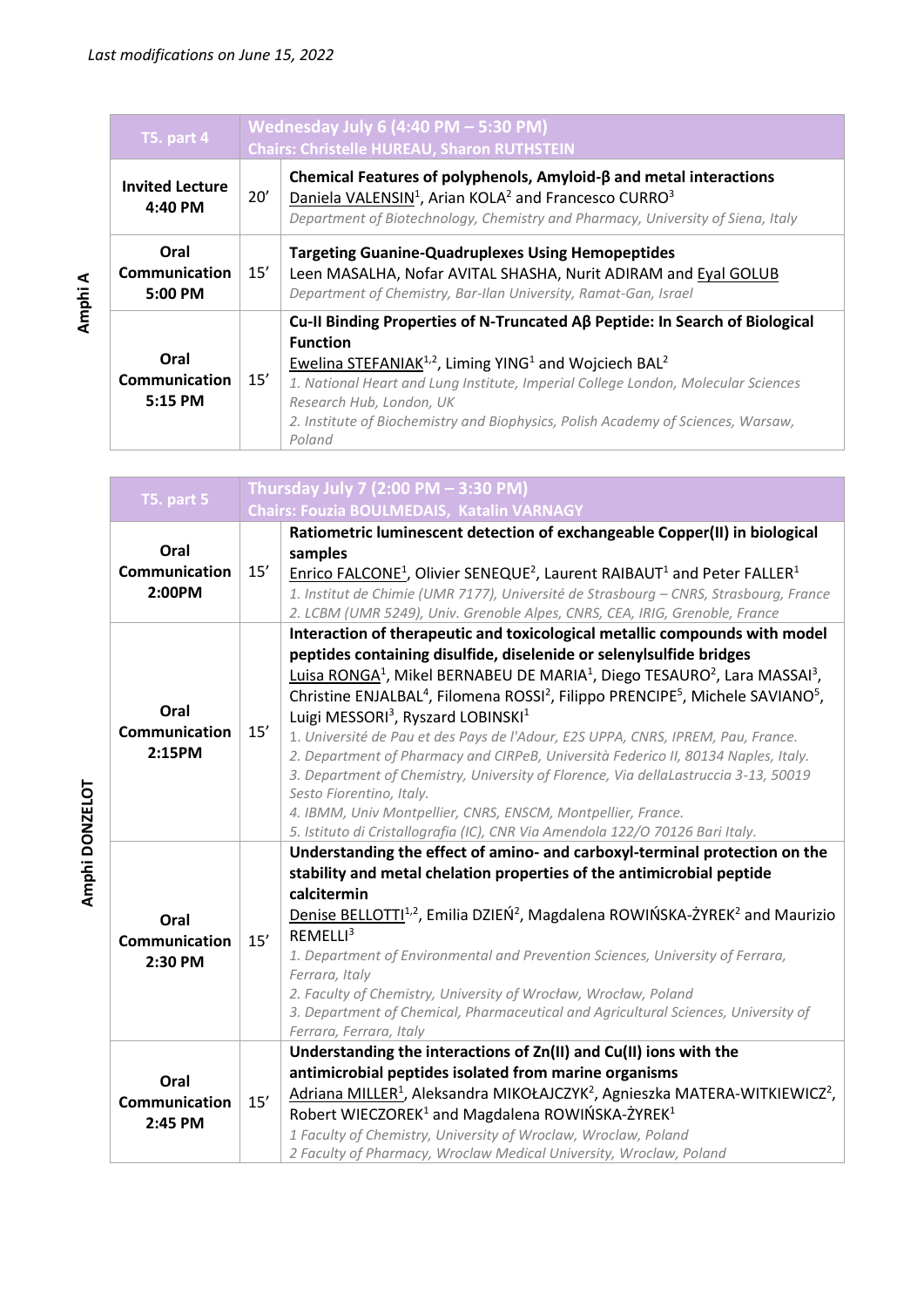| T5. part 4                         |     | Wednesday July 6 (4:40 PM $-$ 5:30 PM)<br><b>Chairs: Christelle HUREAU, Sharon RUTHSTEIN</b>                                                                                                                                                                                                                                                                                                               |  |
|------------------------------------|-----|------------------------------------------------------------------------------------------------------------------------------------------------------------------------------------------------------------------------------------------------------------------------------------------------------------------------------------------------------------------------------------------------------------|--|
| <b>Invited Lecture</b><br>4:40 PM  | 20' | Chemical Features of polyphenols, Amyloid-β and metal interactions<br>Daniela VALENSIN <sup>1</sup> , Arian KOLA <sup>2</sup> and Francesco CURRO <sup>3</sup><br>Department of Biotechnology, Chemistry and Pharmacy, University of Siena, Italy                                                                                                                                                          |  |
| Oral<br>Communication<br>$5:00$ PM | 15' | <b>Targeting Guanine-Quadruplexes Using Hemopeptides</b><br>Leen MASALHA, Nofar AVITAL SHASHA, Nurit ADIRAM and Eyal GOLUB<br>Department of Chemistry, Bar-Ilan University, Ramat-Gan, Israel                                                                                                                                                                                                              |  |
| Oral<br>Communication<br>5:15 PM   | 15' | Cu-II Binding Properties of N-Truncated Aβ Peptide: In Search of Biological<br><b>Function</b><br>Ewelina STEFANIAK <sup>1,2</sup> , Liming YING <sup>1</sup> and Wojciech BAL <sup>2</sup><br>1. National Heart and Lung Institute, Imperial College London, Molecular Sciences<br>Research Hub, London, UK<br>2. Institute of Biochemistry and Biophysics, Polish Academy of Sciences, Warsaw,<br>Poland |  |

| <b>T5. part 5</b>     |     | Thursday July 7 (2:00 PM - 3:30 PM)                                                                                                           |  |
|-----------------------|-----|-----------------------------------------------------------------------------------------------------------------------------------------------|--|
|                       |     | Chairs: Fouzia BOULMEDAIS, Katalin VARNAGY                                                                                                    |  |
|                       |     | Ratiometric luminescent detection of exchangeable Copper(II) in biological                                                                    |  |
| Oral                  |     | samples                                                                                                                                       |  |
| Communication         | 15' | Enrico FALCONE <sup>1</sup> , Olivier SENEQUE <sup>2</sup> , Laurent RAIBAUT <sup>1</sup> and Peter FALLER <sup>1</sup>                       |  |
| 2:00PM                |     | 1. Institut de Chimie (UMR 7177), Université de Strasbourg - CNRS, Strasbourg, France                                                         |  |
|                       |     | 2. LCBM (UMR 5249), Univ. Grenoble Alpes, CNRS, CEA, IRIG, Grenoble, France                                                                   |  |
|                       |     | Interaction of therapeutic and toxicological metallic compounds with model                                                                    |  |
|                       |     | peptides containing disulfide, diselenide or selenylsulfide bridges                                                                           |  |
|                       |     | Luisa RONGA <sup>1</sup> , Mikel BERNABEU DE MARIA <sup>1</sup> , Diego TESAURO <sup>2</sup> , Lara MASSAI <sup>3</sup> ,                     |  |
|                       |     | Christine ENJALBAL <sup>4</sup> , Filomena ROSSI <sup>2</sup> , Filippo PRENCIPE <sup>5</sup> , Michele SAVIANO <sup>5</sup> ,                |  |
| Oral                  |     | Luigi MESSORI <sup>3</sup> , Ryszard LOBINSKI <sup>1</sup>                                                                                    |  |
| <b>Communication</b>  | 15' | 1. Université de Pau et des Pays de l'Adour, E2S UPPA, CNRS, IPREM, Pau, France.                                                              |  |
| 2:15PM                |     | 2. Department of Pharmacy and CIRPeB, Università Federico II, 80134 Naples, Italy.                                                            |  |
|                       |     | 3. Department of Chemistry, University of Florence, Via dellaLastruccia 3-13, 50019                                                           |  |
|                       |     | Sesto Fiorentino, Italy.                                                                                                                      |  |
|                       |     | 4. IBMM, Univ Montpellier, CNRS, ENSCM, Montpellier, France.<br>5. Istituto di Cristallografia (IC), CNR Via Amendola 122/O 70126 Bari Italy. |  |
|                       |     | Understanding the effect of amino- and carboxyl-terminal protection on the                                                                    |  |
|                       |     | stability and metal chelation properties of the antimicrobial peptide                                                                         |  |
|                       |     | calcitermin                                                                                                                                   |  |
|                       |     | Denise BELLOTTI <sup>1,2</sup> , Emilia DZIEŃ <sup>2</sup> , Magdalena ROWIŃSKA-ŻYREK <sup>2</sup> and Maurizio                               |  |
| Oral<br>Communication | 15' | REMELLI <sup>3</sup>                                                                                                                          |  |
| 2:30 PM               |     | 1. Department of Environmental and Prevention Sciences, University of Ferrara,                                                                |  |
|                       |     | Ferrara, Italy                                                                                                                                |  |
|                       |     | 2. Faculty of Chemistry, University of Wrocław, Wrocław, Poland                                                                               |  |
|                       |     | 3. Department of Chemical, Pharmaceutical and Agricultural Sciences, University of                                                            |  |
|                       |     | Ferrara, Ferrara, Italy                                                                                                                       |  |
|                       |     | Understanding the interactions of Zn(II) and Cu(II) ions with the                                                                             |  |
| Oral                  |     | antimicrobial peptides isolated from marine organisms                                                                                         |  |
| Communication         | 15' | Adriana MILLER <sup>1</sup> , Aleksandra MIKOŁAJCZYK <sup>2</sup> , Agnieszka MATERA-WITKIEWICZ <sup>2</sup> ,                                |  |
| 2:45 PM               |     | Robert WIECZOREK <sup>1</sup> and Magdalena ROWIŃSKA-ŻYREK <sup>1</sup>                                                                       |  |
|                       |     | 1 Faculty of Chemistry, University of Wroclaw, Wroclaw, Poland                                                                                |  |
|                       |     | 2 Faculty of Pharmacy, Wroclaw Medical University, Wroclaw, Poland                                                                            |  |

Amphi DONZELOT **Amphi DONZELOT**

**Amphi**

**A**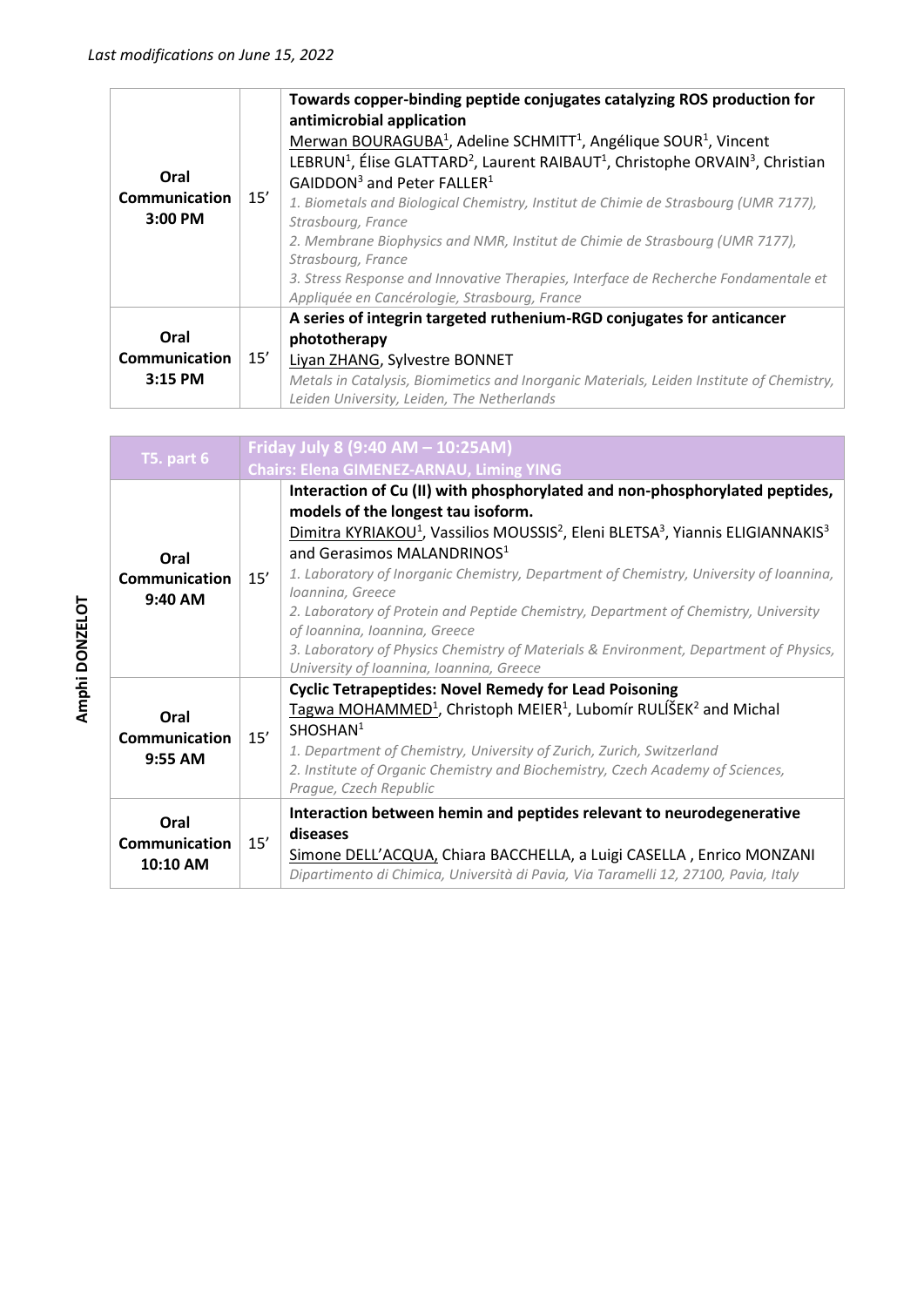| Oral<br><b>Communication</b><br>3:00 PM | 15' | Towards copper-binding peptide conjugates catalyzing ROS production for<br>antimicrobial application<br>Merwan BOURAGUBA <sup>1</sup> , Adeline SCHMITT <sup>1</sup> , Angélique SOUR <sup>1</sup> , Vincent<br>LEBRUN <sup>1</sup> , Élise GLATTARD <sup>2</sup> , Laurent RAIBAUT <sup>1</sup> , Christophe ORVAIN <sup>3</sup> , Christian<br>GAIDDON <sup>3</sup> and Peter FALLER <sup>1</sup><br>1. Biometals and Biological Chemistry, Institut de Chimie de Strasbourg (UMR 7177),<br>Strasbourg, France<br>2. Membrane Biophysics and NMR, Institut de Chimie de Strasbourg (UMR 7177),<br>Strasbourg, France<br>3. Stress Response and Innovative Therapies, Interface de Recherche Fondamentale et<br>Appliquée en Cancérologie, Strasbourg, France |
|-----------------------------------------|-----|----------------------------------------------------------------------------------------------------------------------------------------------------------------------------------------------------------------------------------------------------------------------------------------------------------------------------------------------------------------------------------------------------------------------------------------------------------------------------------------------------------------------------------------------------------------------------------------------------------------------------------------------------------------------------------------------------------------------------------------------------------------|
| Oral<br><b>Communication</b><br>3:15 PM | 15' | A series of integrin targeted ruthenium-RGD conjugates for anticancer<br>phototherapy<br>Liyan ZHANG, Sylvestre BONNET<br>Metals in Catalysis, Biomimetics and Inorganic Materials, Leiden Institute of Chemistry,<br>Leiden University, Leiden, The Netherlands                                                                                                                                                                                                                                                                                                                                                                                                                                                                                               |

| <b>T5. part 6</b>                   |     | Friday July 8 (9:40 AM - 10:25AM)<br><b>Chairs: Elena GIMENEZ-ARNAU, Liming YING</b>                                                                                                                                                                                                                                                                                                                                                                                                                                                                                                                                                                                     |  |
|-------------------------------------|-----|--------------------------------------------------------------------------------------------------------------------------------------------------------------------------------------------------------------------------------------------------------------------------------------------------------------------------------------------------------------------------------------------------------------------------------------------------------------------------------------------------------------------------------------------------------------------------------------------------------------------------------------------------------------------------|--|
| Oral<br>Communication<br>9:40 AM    | 15' | Interaction of Cu (II) with phosphorylated and non-phosphorylated peptides,<br>models of the longest tau isoform.<br>Dimitra KYRIAKOU <sup>1</sup> , Vassilios MOUSSIS <sup>2</sup> , Eleni BLETSA <sup>3</sup> , Yiannis ELIGIANNAKIS <sup>3</sup><br>and Gerasimos MALANDRINOS <sup>1</sup><br>1. Laboratory of Inorganic Chemistry, Department of Chemistry, University of Ioannina,<br>Ioannina, Greece<br>2. Laboratory of Protein and Peptide Chemistry, Department of Chemistry, University<br>of Ioannina, Ioannina, Greece<br>3. Laboratory of Physics Chemistry of Materials & Environment, Department of Physics,<br>University of Ioannina, Ioannina, Greece |  |
| Oral<br>Communication<br>$9:55$ AM  | 15' | <b>Cyclic Tetrapeptides: Novel Remedy for Lead Poisoning</b><br>Tagwa MOHAMMED <sup>1</sup> , Christoph MEIER <sup>1</sup> , Lubomír RULÍŠEK <sup>2</sup> and Michal<br>SHOSHAN <sup>1</sup><br>1. Department of Chemistry, University of Zurich, Zurich, Switzerland<br>2. Institute of Organic Chemistry and Biochemistry, Czech Academy of Sciences,<br>Prague, Czech Republic                                                                                                                                                                                                                                                                                        |  |
| Oral<br>Communication<br>$10:10$ AM | 15' | Interaction between hemin and peptides relevant to neurodegenerative<br>diseases<br>Simone DELL'ACQUA, Chiara BACCHELLA, a Luigi CASELLA, Enrico MONZANI<br>Dipartimento di Chimica, Università di Pavia, Via Taramelli 12, 27100, Pavia, Italy                                                                                                                                                                                                                                                                                                                                                                                                                          |  |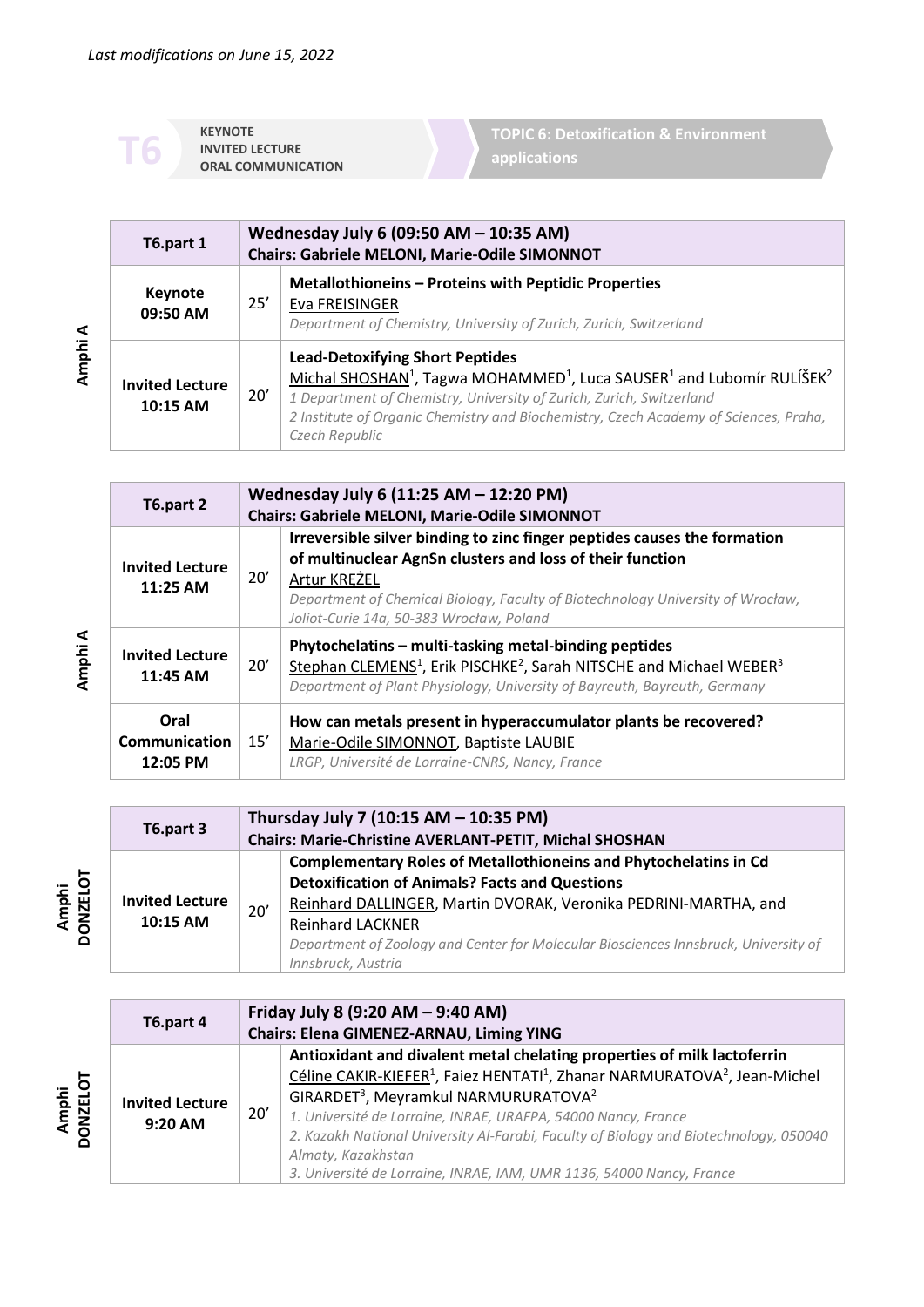**KEYNOTE INVITED LECTURE**<br> **CRAL COMMUNICATION**  **TOPIC 6: Detoxification & Environment applications**

| T6.part 1                          |     | Wednesday July 6 (09:50 AM - 10:35 AM)<br><b>Chairs: Gabriele MELONI, Marie-Odile SIMONNOT</b>                                                                                                                                                                                                                                                    |  |
|------------------------------------|-----|---------------------------------------------------------------------------------------------------------------------------------------------------------------------------------------------------------------------------------------------------------------------------------------------------------------------------------------------------|--|
| Keynote<br>09:50 AM                | 25' | <b>Metallothioneins - Proteins with Peptidic Properties</b><br>Eva FREISINGER<br>Department of Chemistry, University of Zurich, Zurich, Switzerland                                                                                                                                                                                               |  |
| <b>Invited Lecture</b><br>10:15 AM | 20' | <b>Lead-Detoxifying Short Peptides</b><br>Michal SHOSHAN <sup>1</sup> , Tagwa MOHAMMED <sup>1</sup> , Luca SAUSER <sup>1</sup> and Lubomír RULÍŠEK <sup>2</sup><br>1 Department of Chemistry, University of Zurich, Zurich, Switzerland<br>2 Institute of Organic Chemistry and Biochemistry, Czech Academy of Sciences, Praha,<br>Czech Republic |  |

| T6.part 2                          |     | Wednesday July 6 (11:25 AM - 12:20 PM)<br>Chairs: Gabriele MELONI, Marie-Odile SIMONNOT                                                                                                                                                                                              |  |  |
|------------------------------------|-----|--------------------------------------------------------------------------------------------------------------------------------------------------------------------------------------------------------------------------------------------------------------------------------------|--|--|
| <b>Invited Lecture</b><br>11:25 AM | 20' | Irreversible silver binding to zinc finger peptides causes the formation<br>of multinuclear AgnSn clusters and loss of their function<br>Artur KREZEL<br>Department of Chemical Biology, Faculty of Biotechnology University of Wrocław,<br>Joliot-Curie 14a, 50-383 Wrocław, Poland |  |  |
| <b>Invited Lecture</b><br>11:45 AM | 20' | Phytochelatins - multi-tasking metal-binding peptides<br>Stephan CLEMENS <sup>1</sup> , Erik PISCHKE <sup>2</sup> , Sarah NITSCHE and Michael WEBER <sup>3</sup><br>Department of Plant Physiology, University of Bayreuth, Bayreuth, Germany                                        |  |  |
| Oral<br>Communication<br>12:05 PM  | 15' | How can metals present in hyperaccumulator plants be recovered?<br>Marie-Odile SIMONNOT, Baptiste LAUBIE<br>LRGP, Université de Lorraine-CNRS, Nancy, France                                                                                                                         |  |  |

|                      | T6.part 3                          |     | Thursday July 7 (10:15 AM - 10:35 PM)<br><b>Chairs: Marie-Christine AVERLANT-PETIT, Michal SHOSHAN</b>                                                                                                                                                                                                                                      |
|----------------------|------------------------------------|-----|---------------------------------------------------------------------------------------------------------------------------------------------------------------------------------------------------------------------------------------------------------------------------------------------------------------------------------------------|
| jот<br><b>DONZEL</b> | <b>Invited Lecture</b><br>10:15 AM | 20' | <b>Complementary Roles of Metallothioneins and Phytochelatins in Cd</b><br><b>Detoxification of Animals? Facts and Questions</b><br>Reinhard DALLINGER, Martin DVORAK, Veronika PEDRINI-MARTHA, and<br><b>Reinhard LACKNER</b><br>Department of Zoology and Center for Molecular Biosciences Innsbruck, University of<br>Innsbruck, Austria |

|                   | T6.part 4                           |     | Friday July 8 (9:20 AM - 9:40 AM)<br>Chairs: Elena GIMENEZ-ARNAU, Liming YING                                                                                                                                                                                                                                                                                                                                                                                                                                    |
|-------------------|-------------------------------------|-----|------------------------------------------------------------------------------------------------------------------------------------------------------------------------------------------------------------------------------------------------------------------------------------------------------------------------------------------------------------------------------------------------------------------------------------------------------------------------------------------------------------------|
| Amphi<br>DONZELOT | <b>Invited Lecture</b><br>$9:20$ AM | 20' | Antioxidant and divalent metal chelating properties of milk lactoferrin<br>Céline CAKIR-KIEFER <sup>1</sup> , Faiez HENTATI <sup>1</sup> , Zhanar NARMURATOVA <sup>2</sup> , Jean-Michel<br>GIRARDET <sup>3</sup> , Meyramkul NARMURURATOVA <sup>2</sup><br>1. Université de Lorraine, INRAE, URAFPA, 54000 Nancy, France<br>2. Kazakh National University Al-Farabi, Faculty of Biology and Biotechnology, 050040<br>Almaty, Kazakhstan<br>3. Université de Lorraine, INRAE, IAM, UMR 1136, 54000 Nancy, France |

**Amphi A**

**Amphi**

**A**

**Amphi**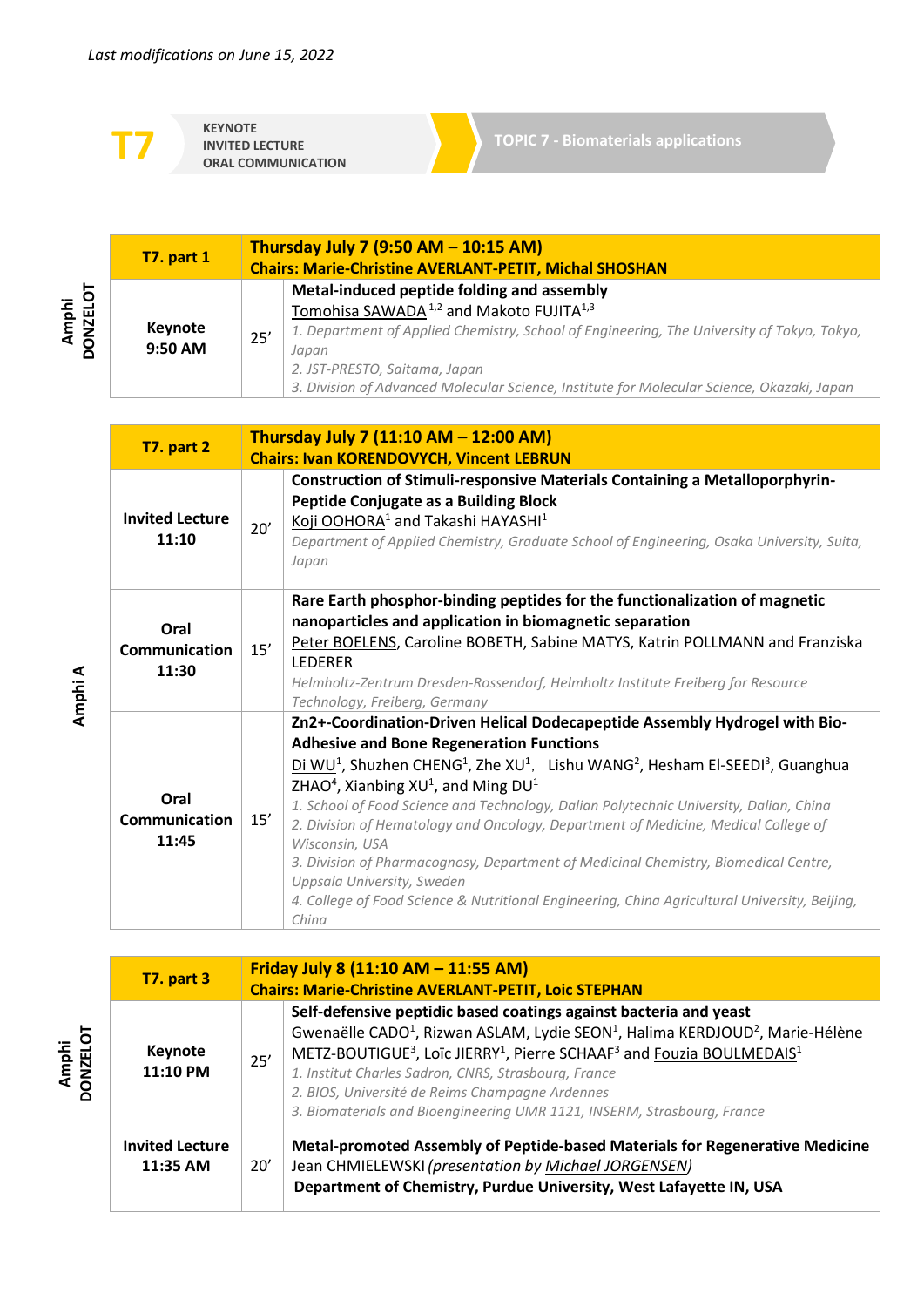**KEYNOTE IORAL COMMUNICATION** 

|                   | <b>T7. part 1</b>         | Thursday July 7 (9:50 AM - 10:15 AM)<br><b>Chairs: Marie-Christine AVERLANT-PETIT, Michal SHOSHAN</b>                                                                                                                                                                                                                                                                                                                                                                |
|-------------------|---------------------------|----------------------------------------------------------------------------------------------------------------------------------------------------------------------------------------------------------------------------------------------------------------------------------------------------------------------------------------------------------------------------------------------------------------------------------------------------------------------|
| Amphi<br>DONZELOT | <b>Keynote</b><br>9:50 AM | Metal-induced peptide folding and assembly<br>Tomohisa SAWADA <sup>1,2</sup> and Makoto FUJITA <sup>1,3</sup><br>1. Department of Applied Chemistry, School of Engineering, The University of Tokyo, Tokyo,<br>25'<br>Japan<br>2. JST-PRESTO, Saitama, Japan<br>3. Division of Advanced Molecular Science, Institute for Molecular Science, Okazaki, Japan                                                                                                           |
|                   | <b>T7. part 2</b>         | Thursday July 7 (11:10 AM - 12:00 AM)<br><b>Chairs: Ivan KORENDOVYCH, Vincent LEBRUN</b>                                                                                                                                                                                                                                                                                                                                                                             |
|                   | مستغمم الممغانيما         | Construction of Stimuli-responsive Materials Containing a Metalloporphyrin-<br>Peptide Conjugate as a Building Block<br>$\ldots$ $\ldots$ $\ldots$ $\ldots$ $\ldots$ $\ldots$ $\ldots$ $\ldots$ $\ldots$ $\ldots$ $\ldots$ $\ldots$ $\ldots$ $\ldots$ $\ldots$ $\ldots$ $\ldots$ $\ldots$ $\ldots$ $\ldots$ $\ldots$ $\ldots$ $\ldots$ $\ldots$ $\ldots$ $\ldots$ $\ldots$ $\ldots$ $\ldots$ $\ldots$ $\ldots$ $\ldots$ $\ldots$ $\ldots$ $\ldots$ $\ldots$ $\ldots$ |

| <b>Invited Lecture</b><br>11:10       | 20' | Koji OOHORA <sup>1</sup> and Takashi HAYASHI <sup>1</sup><br>Department of Applied Chemistry, Graduate School of Engineering, Osaka University, Suita,<br>Japan                                                                                                                                                                                                                                                                                                                                                                                                                                                                                                                                                                                                              |
|---------------------------------------|-----|------------------------------------------------------------------------------------------------------------------------------------------------------------------------------------------------------------------------------------------------------------------------------------------------------------------------------------------------------------------------------------------------------------------------------------------------------------------------------------------------------------------------------------------------------------------------------------------------------------------------------------------------------------------------------------------------------------------------------------------------------------------------------|
| Oral<br><b>Communication</b><br>11:30 | 15' | Rare Earth phosphor-binding peptides for the functionalization of magnetic<br>nanoparticles and application in biomagnetic separation<br>Peter BOELENS, Caroline BOBETH, Sabine MATYS, Katrin POLLMANN and Franziska<br><b>LEDERER</b><br>Helmholtz-Zentrum Dresden-Rossendorf, Helmholtz Institute Freiberg for Resource<br>Technology, Freiberg, Germany                                                                                                                                                                                                                                                                                                                                                                                                                   |
| Oral<br><b>Communication</b><br>11:45 | 15' | Zn2+-Coordination-Driven Helical Dodecapeptide Assembly Hydrogel with Bio-<br><b>Adhesive and Bone Regeneration Functions</b><br>Di WU <sup>1</sup> , Shuzhen CHENG <sup>1</sup> , Zhe XU <sup>1</sup> , Lishu WANG <sup>2</sup> , Hesham El-SEEDI <sup>3</sup> , Guanghua<br>ZHAO <sup>4</sup> , Xianbing $XU1$ , and Ming DU <sup>1</sup><br>1. School of Food Science and Technology, Dalian Polytechnic University, Dalian, China<br>2. Division of Hematology and Oncology, Department of Medicine, Medical College of<br>Wisconsin, USA<br>3. Division of Pharmacognosy, Department of Medicinal Chemistry, Biomedical Centre,<br>Uppsala University, Sweden<br>4. College of Food Science & Nutritional Engineering, China Agricultural University, Beijing,<br>China |

| <b>T7. part 3</b>                  |     | Friday July 8 (11:10 AM - 11:55 AM)<br><b>Chairs: Marie-Christine AVERLANT-PETIT, Loic STEPHAN</b>                                                                                                                                                                                                                                                                                                                                                                                                    |  |  |
|------------------------------------|-----|-------------------------------------------------------------------------------------------------------------------------------------------------------------------------------------------------------------------------------------------------------------------------------------------------------------------------------------------------------------------------------------------------------------------------------------------------------------------------------------------------------|--|--|
| <b>Keynote</b><br>11:10 PM         | 25' | Self-defensive peptidic based coatings against bacteria and yeast<br>Gwenaëlle CADO <sup>1</sup> , Rizwan ASLAM, Lydie SEON <sup>1</sup> , Halima KERDJOUD <sup>2</sup> , Marie-Hélène<br>METZ-BOUTIGUE <sup>3</sup> , Loïc JIERRY <sup>1</sup> , Pierre SCHAAF <sup>3</sup> and Fouzia BOULMEDAIS <sup>1</sup><br>1. Institut Charles Sadron, CNRS, Strasbourg, France<br>2. BIOS, Université de Reims Champagne Ardennes<br>3. Biomaterials and Bioengineering UMR 1121, INSERM, Strasbourg, France |  |  |
| <b>Invited Lecture</b><br>11:35 AM | 20' | Metal-promoted Assembly of Peptide-based Materials for Regenerative Medicine<br>Jean CHMIELEWSKI (presentation by Michael JORGENSEN)<br>Department of Chemistry, Purdue University, West Lafayette IN, USA                                                                                                                                                                                                                                                                                            |  |  |

**Amphi A**

**Amphi DONZELOT**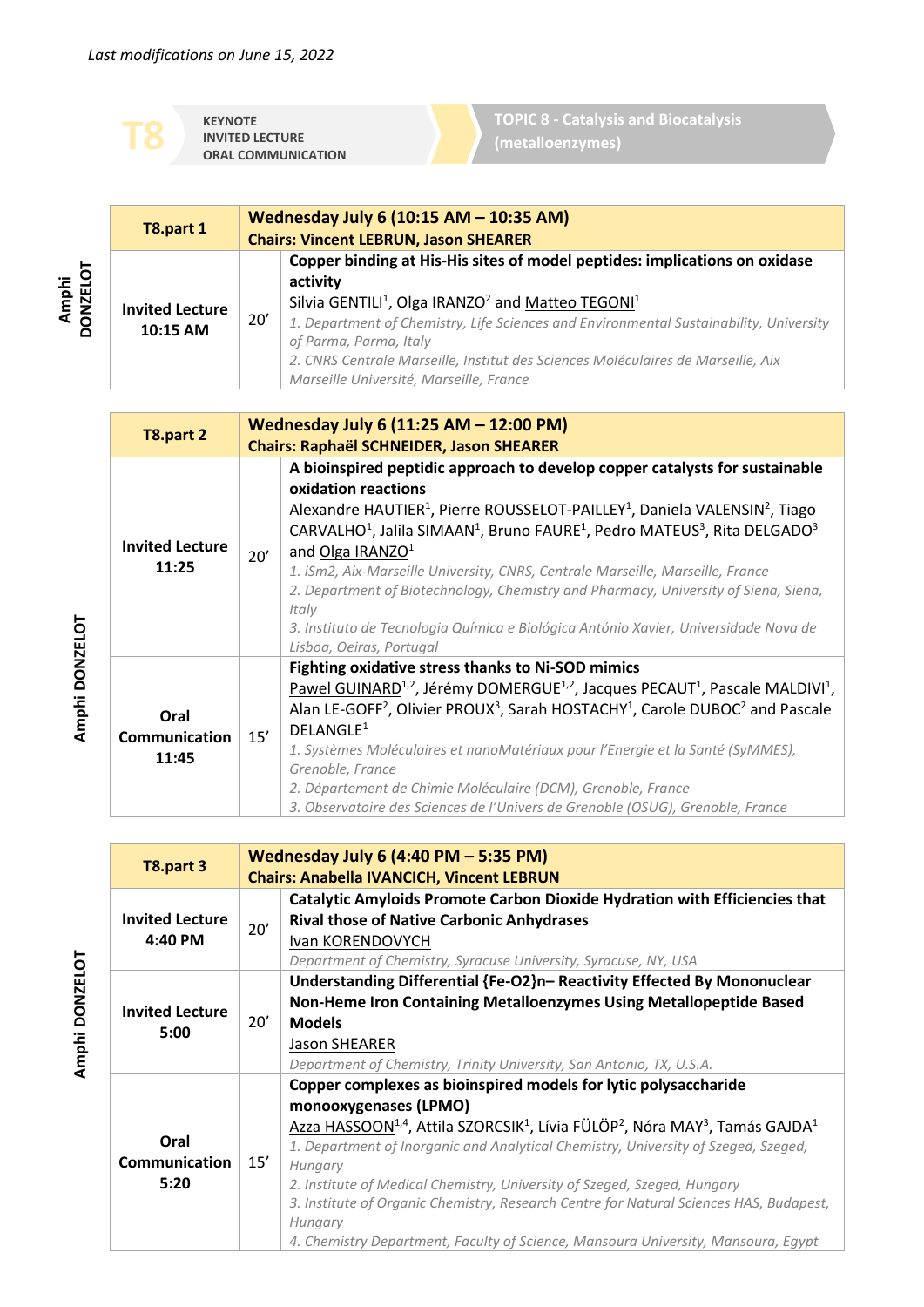**KEYNOTE INVITED LECTURE ORAL COMMUNICATION** **TOPIC 8 - Catalysis and Biocatalysis (metalloenzymes)**

|                  | T8.part 1                          |     | Wednesday July 6 (10:15 AM - 10:35 AM)<br><b>Chairs: Vincent LEBRUN, Jason SHEARER</b>                                                                                                                                                                                                                                                                                                                                                                                                                                                                                                                                                                                                             |
|------------------|------------------------------------|-----|----------------------------------------------------------------------------------------------------------------------------------------------------------------------------------------------------------------------------------------------------------------------------------------------------------------------------------------------------------------------------------------------------------------------------------------------------------------------------------------------------------------------------------------------------------------------------------------------------------------------------------------------------------------------------------------------------|
| <b>DONZELOT</b>  | <b>Invited Lecture</b><br>10:15 AM | 20' | Copper binding at His-His sites of model peptides: implications on oxidase<br>activity<br>Silvia GENTILI <sup>1</sup> , Olga IRANZO <sup>2</sup> and Matteo TEGONI <sup>1</sup><br>1. Department of Chemistry, Life Sciences and Environmental Sustainability, University<br>of Parma, Parma, Italy<br>2. CNRS Centrale Marseille, Institut des Sciences Moléculaires de Marseille, Aix<br>Marseille Université, Marseille, France                                                                                                                                                                                                                                                                 |
|                  | T8.part 2                          |     | Wednesday July 6 (11:25 AM - 12:00 PM)<br><b>Chairs: Raphaël SCHNEIDER, Jason SHEARER</b>                                                                                                                                                                                                                                                                                                                                                                                                                                                                                                                                                                                                          |
|                  | <b>Invited Lecture</b><br>11:25    | 20' | A bioinspired peptidic approach to develop copper catalysts for sustainable<br>oxidation reactions<br>Alexandre HAUTIER <sup>1</sup> , Pierre ROUSSELOT-PAILLEY <sup>1</sup> , Daniela VALENSIN <sup>2</sup> , Tiago<br>CARVALHO <sup>1</sup> , Jalila SIMAAN <sup>1</sup> , Bruno FAURE <sup>1</sup> , Pedro MATEUS <sup>3</sup> , Rita DELGADO <sup>3</sup><br>and Olga IRANZO <sup>1</sup><br>1. iSm2, Aix-Marseille University, CNRS, Centrale Marseille, Marseille, France<br>2. Department of Biotechnology, Chemistry and Pharmacy, University of Siena, Siena,<br>Italy<br>3. Instituto de Tecnologia Química e Biológica António Xavier, Universidade Nova de<br>Lisboa, Oeiras, Portugal |
| i<br>Biblic<br>F | Oral<br><b>Communication</b>       | 15' | Fighting oxidative stress thanks to Ni-SOD mimics<br>Pawel GUINARD <sup>1,2</sup> , Jérémy DOMERGUE <sup>1,2</sup> , Jacques PECAUT <sup>1</sup> , Pascale MALDIVI <sup>1</sup> ,<br>Alan LE-GOFF <sup>2</sup> , Olivier PROUX <sup>3</sup> , Sarah HOSTACHY <sup>1</sup> , Carole DUBOC <sup>2</sup> and Pascale<br>DELANGLE <sup>1</sup>                                                                                                                                                                                                                                                                                                                                                         |

**11:45** *1. Systèmes Moléculaires et nanoMatériaux pour l'Energie et la Santé (SyMMES), Grenoble, France 2. Département de Chimie Moléculaire (DCM), Grenoble, France* 

*3. Observatoire des Sciences de l'Univers de Grenoble (OSUG), Grenoble, France*

| T8.part 3              |     | Wednesday July 6 (4:40 PM $-$ 5:35 PM)                                                                                                   |
|------------------------|-----|------------------------------------------------------------------------------------------------------------------------------------------|
|                        |     | <b>Chairs: Anabella IVANCICH, Vincent LEBRUN</b>                                                                                         |
|                        |     | Catalytic Amyloids Promote Carbon Dioxide Hydration with Efficiencies that                                                               |
| <b>Invited Lecture</b> | 20' | <b>Rival those of Native Carbonic Anhydrases</b>                                                                                         |
| 4:40 PM                |     | Ivan KORENDOVYCH                                                                                                                         |
|                        |     | Department of Chemistry, Syracuse University, Syracuse, NY, USA                                                                          |
|                        |     | Understanding Differential {Fe-O2}n- Reactivity Effected By Mononuclear                                                                  |
| <b>Invited Lecture</b> |     | Non-Heme Iron Containing Metalloenzymes Using Metallopeptide Based                                                                       |
| 5:00                   | 20' | <b>Models</b>                                                                                                                            |
|                        |     | <b>Jason SHEARER</b>                                                                                                                     |
|                        |     | Department of Chemistry, Trinity University, San Antonio, TX, U.S.A.                                                                     |
|                        |     | Copper complexes as bioinspired models for lytic polysaccharide                                                                          |
|                        |     | monooxygenases (LPMO)                                                                                                                    |
|                        |     | Azza HASSOON <sup>1,4</sup> , Attila SZORCSIK <sup>1</sup> , Lívia FÜLÖP <sup>2</sup> , Nóra MAY <sup>3</sup> , Tamás GAJDA <sup>1</sup> |
| Oral                   |     | 1. Department of Inorganic and Analytical Chemistry, University of Szeged, Szeged,                                                       |
| <b>Communication</b>   | 15' | Hungary                                                                                                                                  |
| 5:20                   |     | 2. Institute of Medical Chemistry, University of Szeged, Szeged, Hungary                                                                 |
|                        |     | 3. Institute of Organic Chemistry, Research Centre for Natural Sciences HAS, Budapest,                                                   |
|                        |     | Hungary                                                                                                                                  |
|                        |     | 4. Chemistry Department, Faculty of Science, Mansoura University, Mansoura, Egypt                                                        |

Amphi DONZELOT **Amphi DONZELOT**

**Amphi**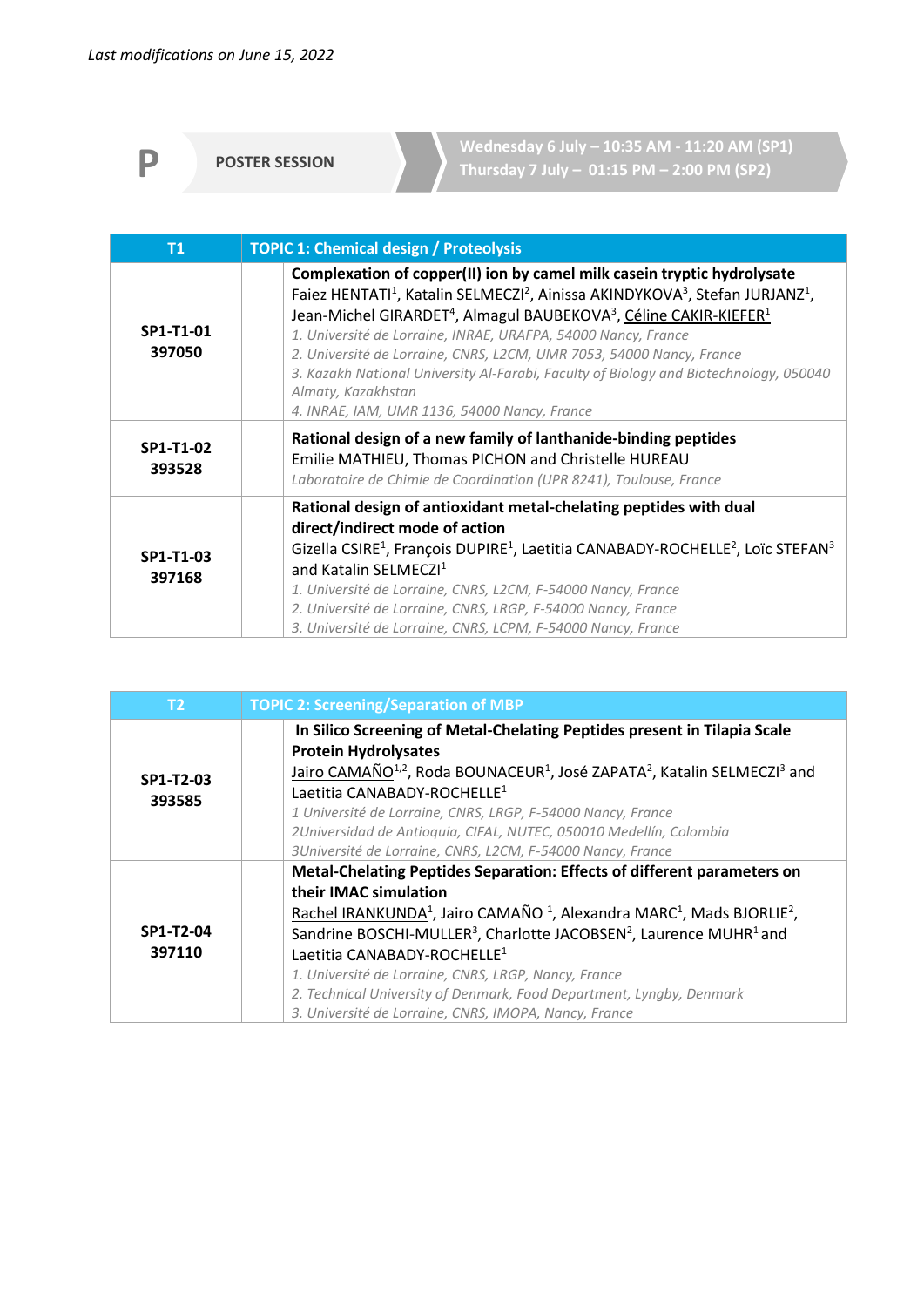**P POSTER SESSION**

**Wednesday 6 July – 10:35 AM - 11:20 AM (SP1) Thursday 7 July – 01:15 PM – 2:00 PM (SP2)**

| <b>T1</b>           | <b>TOPIC 1: Chemical design / Proteolysis</b>                                                                                                                                                                                                                                                                                                                                                                                                                                                                                                                                                                            |
|---------------------|--------------------------------------------------------------------------------------------------------------------------------------------------------------------------------------------------------------------------------------------------------------------------------------------------------------------------------------------------------------------------------------------------------------------------------------------------------------------------------------------------------------------------------------------------------------------------------------------------------------------------|
| SP1-T1-01<br>397050 | Complexation of copper(II) ion by camel milk casein tryptic hydrolysate<br>Faiez HENTATI <sup>1</sup> , Katalin SELMECZI <sup>2</sup> , Ainissa AKINDYKOVA <sup>3</sup> , Stefan JURJANZ <sup>1</sup> ,<br>Jean-Michel GIRARDET <sup>4</sup> , Almagul BAUBEKOVA <sup>3</sup> , Céline CAKIR-KIEFER <sup>1</sup><br>1. Université de Lorraine, INRAE, URAFPA, 54000 Nancy, France<br>2. Université de Lorraine, CNRS, L2CM, UMR 7053, 54000 Nancy, France<br>3. Kazakh National University Al-Farabi, Faculty of Biology and Biotechnology, 050040<br>Almaty, Kazakhstan<br>4. INRAE, IAM, UMR 1136, 54000 Nancy, France |
| SP1-T1-02<br>393528 | Rational design of a new family of lanthanide-binding peptides<br>Emilie MATHIEU, Thomas PICHON and Christelle HUREAU<br>Laboratoire de Chimie de Coordination (UPR 8241), Toulouse, France                                                                                                                                                                                                                                                                                                                                                                                                                              |
| SP1-T1-03<br>397168 | Rational design of antioxidant metal-chelating peptides with dual<br>direct/indirect mode of action<br>Gizella CSIRE <sup>1</sup> , François DUPIRE <sup>1</sup> , Laetitia CANABADY-ROCHELLE <sup>2</sup> , Loïc STEFAN <sup>3</sup><br>and Katalin SELMECZI <sup>1</sup><br>1. Université de Lorraine, CNRS, L2CM, F-54000 Nancy, France<br>2. Université de Lorraine, CNRS, LRGP, F-54000 Nancy, France<br>3. Université de Lorraine, CNRS, LCPM, F-54000 Nancy, France                                                                                                                                               |

| T <sub>2</sub>      | <b>TOPIC 2: Screening/Separation of MBP</b>                                                                                                                                                                                                                                                                                                                                                                                                                                                                                                                             |
|---------------------|-------------------------------------------------------------------------------------------------------------------------------------------------------------------------------------------------------------------------------------------------------------------------------------------------------------------------------------------------------------------------------------------------------------------------------------------------------------------------------------------------------------------------------------------------------------------------|
| SP1-T2-03<br>393585 | In Silico Screening of Metal-Chelating Peptides present in Tilapia Scale<br><b>Protein Hydrolysates</b><br>Jairo CAMAÑO <sup>1,2</sup> , Roda BOUNACEUR <sup>1</sup> , José ZAPATA <sup>2</sup> , Katalin SELMECZI <sup>3</sup> and<br>Laetitia CANABADY-ROCHELLE <sup>1</sup><br>1 Université de Lorraine, CNRS, LRGP, F-54000 Nancy, France<br>2Universidad de Antioquia, CIFAL, NUTEC, 050010 Medellín, Colombia<br>3Université de Lorraine, CNRS, L2CM, F-54000 Nancy, France                                                                                       |
| SP1-T2-04<br>397110 | Metal-Chelating Peptides Separation: Effects of different parameters on<br>their IMAC simulation<br>Rachel IRANKUNDA <sup>1</sup> , Jairo CAMAÑO <sup>1</sup> , Alexandra MARC <sup>1</sup> , Mads BJORLIE <sup>2</sup> ,<br>Sandrine BOSCHI-MULLER <sup>3</sup> , Charlotte JACOBSEN <sup>2</sup> , Laurence MUHR <sup>1</sup> and<br>Laetitia CANABADY-ROCHELLE <sup>1</sup><br>1. Université de Lorraine, CNRS, LRGP, Nancy, France<br>2. Technical University of Denmark, Food Department, Lyngby, Denmark<br>3. Université de Lorraine, CNRS, IMOPA, Nancy, France |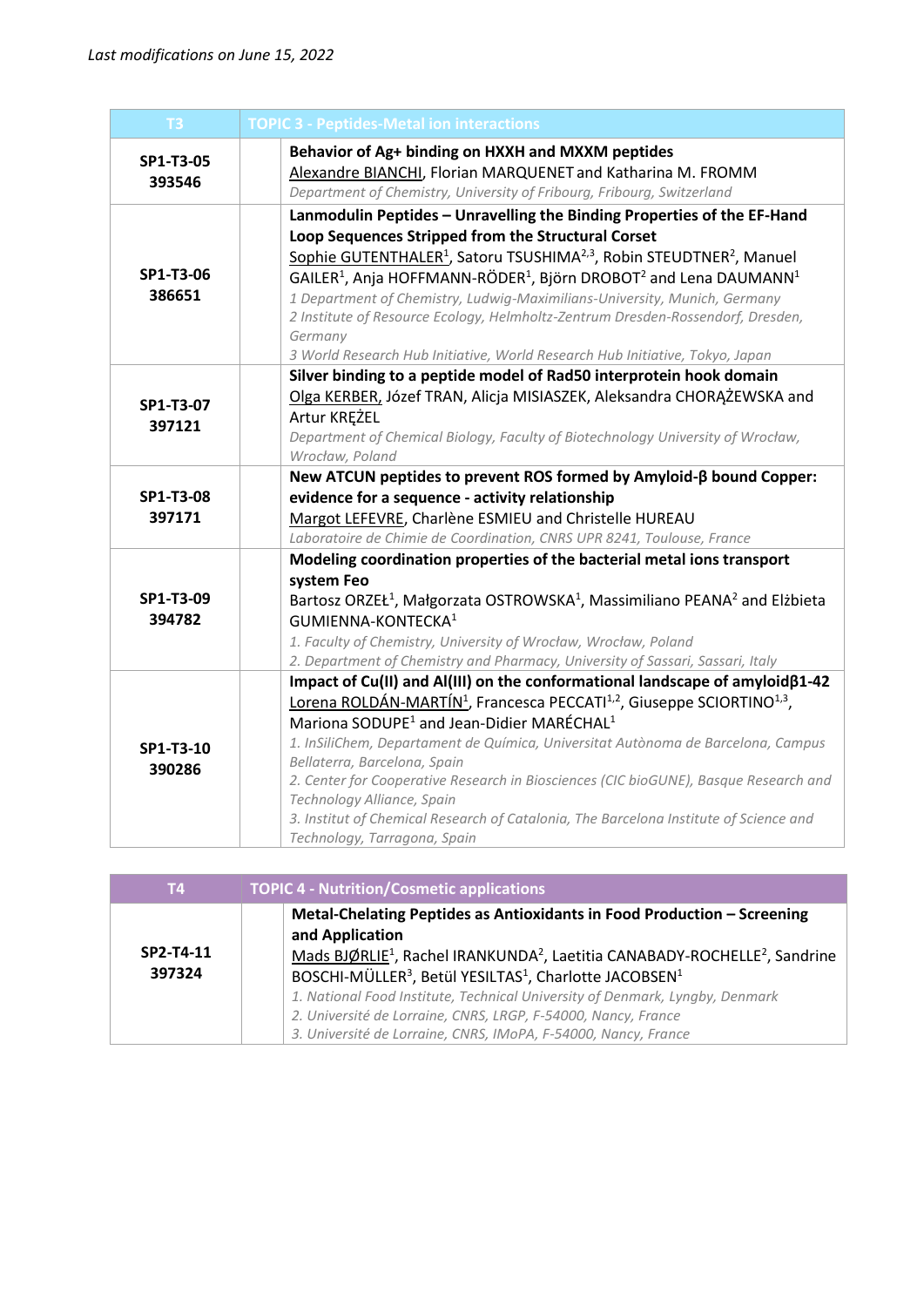| T <sub>3</sub>      | <b>TOPIC 3 - Peptides-Metal ion interactions</b>                                                                                                                                                                                                                                                                                                                                                                                                                                                                                                                                                                                           |
|---------------------|--------------------------------------------------------------------------------------------------------------------------------------------------------------------------------------------------------------------------------------------------------------------------------------------------------------------------------------------------------------------------------------------------------------------------------------------------------------------------------------------------------------------------------------------------------------------------------------------------------------------------------------------|
| SP1-T3-05<br>393546 | Behavior of Ag+ binding on HXXH and MXXM peptides<br>Alexandre BIANCHI, Florian MARQUENET and Katharina M. FROMM<br>Department of Chemistry, University of Fribourg, Fribourg, Switzerland                                                                                                                                                                                                                                                                                                                                                                                                                                                 |
| SP1-T3-06<br>386651 | Lanmodulin Peptides - Unravelling the Binding Properties of the EF-Hand<br>Loop Sequences Stripped from the Structural Corset<br>Sophie GUTENTHALER <sup>1</sup> , Satoru TSUSHIMA <sup>2,3</sup> , Robin STEUDTNER <sup>2</sup> , Manuel<br>$GALER1$ , Anja HOFFMANN-RÖDER <sup>1</sup> , Björn DROBOT <sup>2</sup> and Lena DAUMANN <sup>1</sup><br>1 Department of Chemistry, Ludwig-Maximilians-University, Munich, Germany<br>2 Institute of Resource Ecology, Helmholtz-Zentrum Dresden-Rossendorf, Dresden,<br>Germany<br>3 World Research Hub Initiative, World Research Hub Initiative, Tokyo, Japan                              |
| SP1-T3-07<br>397121 | Silver binding to a peptide model of Rad50 interprotein hook domain<br>Olga KERBER, Józef TRAN, Alicja MISIASZEK, Aleksandra CHORĄŻEWSKA and<br>Artur KREZEL<br>Department of Chemical Biology, Faculty of Biotechnology University of Wrocław,<br>Wrocław, Poland                                                                                                                                                                                                                                                                                                                                                                         |
| SP1-T3-08<br>397171 | New ATCUN peptides to prevent ROS formed by Amyloid-B bound Copper:<br>evidence for a sequence - activity relationship<br>Margot LEFEVRE, Charlène ESMIEU and Christelle HUREAU<br>Laboratoire de Chimie de Coordination, CNRS UPR 8241, Toulouse, France                                                                                                                                                                                                                                                                                                                                                                                  |
| SP1-T3-09<br>394782 | Modeling coordination properties of the bacterial metal ions transport<br>system Feo<br>Bartosz ORZEŁ <sup>1</sup> , Małgorzata OSTROWSKA <sup>1</sup> , Massimiliano PEANA <sup>2</sup> and Elżbieta<br>GUMIENNA-KONTECKA <sup>1</sup><br>1. Faculty of Chemistry, University of Wrocław, Wrocław, Poland<br>2. Department of Chemistry and Pharmacy, University of Sassari, Sassari, Italy                                                                                                                                                                                                                                               |
| SP1-T3-10<br>390286 | Impact of Cu(II) and Al(III) on the conformational landscape of amyloid $\beta$ 1-42<br>Lorena ROLDÁN-MARTÍN <sup>1</sup> , Francesca PECCATI <sup>1,2</sup> , Giuseppe SCIORTINO <sup>1,3</sup> ,<br>Mariona SODUPE <sup>1</sup> and Jean-Didier MARÉCHAL <sup>1</sup><br>1. InSiliChem, Departament de Química, Universitat Autònoma de Barcelona, Campus<br>Bellaterra, Barcelona, Spain<br>2. Center for Cooperative Research in Biosciences (CIC bioGUNE), Basque Research and<br>Technology Alliance, Spain<br>3. Institut of Chemical Research of Catalonia, The Barcelona Institute of Science and<br>Technology, Tarragona, Spain |

| <b>T4</b>           | <b>TOPIC 4 - Nutrition/Cosmetic applications</b>                                                                                                                                                                                                                                                                                                                                                                                                                                                                              |
|---------------------|-------------------------------------------------------------------------------------------------------------------------------------------------------------------------------------------------------------------------------------------------------------------------------------------------------------------------------------------------------------------------------------------------------------------------------------------------------------------------------------------------------------------------------|
| SP2-T4-11<br>397324 | Metal-Chelating Peptides as Antioxidants in Food Production - Screening<br>and Application<br>Mads BJØRLIE <sup>1</sup> , Rachel IRANKUNDA <sup>2</sup> , Laetitia CANABADY-ROCHELLE <sup>2</sup> , Sandrine<br>BOSCHI-MÜLLER <sup>3</sup> , Betül YESILTAS <sup>1</sup> , Charlotte JACOBSEN <sup>1</sup><br>1. National Food Institute, Technical University of Denmark, Lyngby, Denmark<br>2. Université de Lorraine, CNRS, LRGP, F-54000, Nancy, France<br>3. Université de Lorraine, CNRS, IMoPA, F-54000, Nancy, France |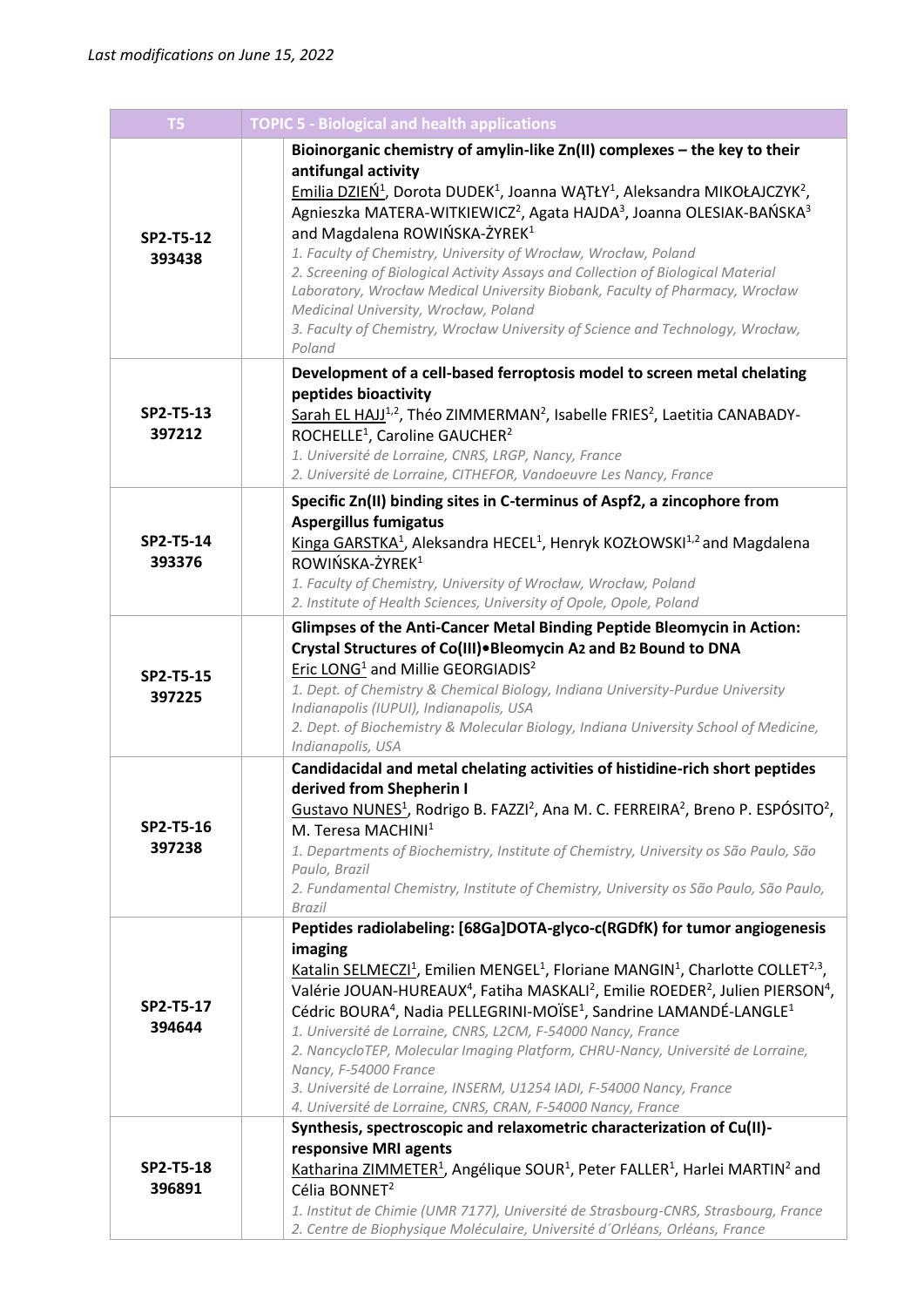| T <sub>5</sub>      | <b>TOPIC 5 - Biological and health applications</b>                                                                                                                                                                                                                                                                                                                                                                                                                                                                                                                                                                                                                                                                                                                                                                                                           |
|---------------------|---------------------------------------------------------------------------------------------------------------------------------------------------------------------------------------------------------------------------------------------------------------------------------------------------------------------------------------------------------------------------------------------------------------------------------------------------------------------------------------------------------------------------------------------------------------------------------------------------------------------------------------------------------------------------------------------------------------------------------------------------------------------------------------------------------------------------------------------------------------|
| SP2-T5-12<br>393438 | Bioinorganic chemistry of amylin-like Zn(II) complexes - the key to their<br>antifungal activity<br>Emilia DZIEŃ <sup>1</sup> , Dorota DUDEK <sup>1</sup> , Joanna WĄTŁY <sup>1</sup> , Aleksandra MIKOŁAJCZYK <sup>2</sup> ,<br>Agnieszka MATERA-WITKIEWICZ <sup>2</sup> , Agata HAJDA <sup>3</sup> , Joanna OLESIAK-BAŃSKA <sup>3</sup><br>and Magdalena ROWIŃSKA-ŻYREK <sup>1</sup><br>1. Faculty of Chemistry, University of Wrocław, Wrocław, Poland<br>2. Screening of Biological Activity Assays and Collection of Biological Material<br>Laboratory, Wrocław Medical University Biobank, Faculty of Pharmacy, Wrocław<br>Medicinal University, Wrocław, Poland<br>3. Faculty of Chemistry, Wrocław University of Science and Technology, Wrocław,<br>Poland                                                                                           |
| SP2-T5-13<br>397212 | Development of a cell-based ferroptosis model to screen metal chelating<br>peptides bioactivity<br>Sarah EL HAJJ <sup>1,2</sup> , Théo ZIMMERMAN <sup>2</sup> , Isabelle FRIES <sup>2</sup> , Laetitia CANABADY-<br>ROCHELLE <sup>1</sup> , Caroline GAUCHER <sup>2</sup><br>1. Université de Lorraine, CNRS, LRGP, Nancy, France<br>2. Université de Lorraine, CITHEFOR, Vandoeuvre Les Nancy, France                                                                                                                                                                                                                                                                                                                                                                                                                                                        |
| SP2-T5-14<br>393376 | Specific Zn(II) binding sites in C-terminus of Aspf2, a zincophore from<br><b>Aspergillus fumigatus</b><br>Kinga GARSTKA <sup>1</sup> , Aleksandra HECEL <sup>1</sup> , Henryk KOZŁOWSKI <sup>1,2</sup> and Magdalena<br>ROWIŃSKA-ŻYREK <sup>1</sup><br>1. Faculty of Chemistry, University of Wrocław, Wrocław, Poland<br>2. Institute of Health Sciences, University of Opole, Opole, Poland                                                                                                                                                                                                                                                                                                                                                                                                                                                                |
| SP2-T5-15<br>397225 | Glimpses of the Anti-Cancer Metal Binding Peptide Bleomycin in Action:<br>Crystal Structures of Co(III) • Bleomycin A2 and B2 Bound to DNA<br>Eric LONG <sup>1</sup> and Millie GEORGIADIS <sup>2</sup><br>1. Dept. of Chemistry & Chemical Biology, Indiana University-Purdue University<br>Indianapolis (IUPUI), Indianapolis, USA<br>2. Dept. of Biochemistry & Molecular Biology, Indiana University School of Medicine,<br>Indianapolis, USA                                                                                                                                                                                                                                                                                                                                                                                                             |
| SP2-T5-16<br>397238 | Candidacidal and metal chelating activities of histidine-rich short peptides<br>derived from Shepherin I<br>Gustavo NUNES <sup>1</sup> , Rodrigo B. FAZZI <sup>2</sup> , Ana M. C. FERREIRA <sup>2</sup> , Breno P. ESPÓSITO <sup>2</sup> ,<br>M. Teresa MACHINI <sup>1</sup><br>1. Departments of Biochemistry, Institute of Chemistry, University os São Paulo, São<br>Paulo, Brazil<br>2. Fundamental Chemistry, Institute of Chemistry, University os São Paulo, São Paulo,<br>Brazil                                                                                                                                                                                                                                                                                                                                                                     |
| SP2-T5-17<br>394644 | Peptides radiolabeling: [68Ga]DOTA-glyco-c(RGDfK) for tumor angiogenesis<br>imaging<br>Katalin SELMECZI <sup>1</sup> , Emilien MENGEL <sup>1</sup> , Floriane MANGIN <sup>1</sup> , Charlotte COLLET <sup>2,3</sup> ,<br>Valérie JOUAN-HUREAUX <sup>4</sup> , Fatiha MASKALI <sup>2</sup> , Emilie ROEDER <sup>2</sup> , Julien PIERSON <sup>4</sup> ,<br>Cédric BOURA <sup>4</sup> , Nadia PELLEGRINI-MOÏSE <sup>1</sup> , Sandrine LAMANDÉ-LANGLE <sup>1</sup><br>1. Université de Lorraine, CNRS, L2CM, F-54000 Nancy, France<br>2. NancycloTEP, Molecular Imaging Platform, CHRU-Nancy, Université de Lorraine,<br>Nancy, F-54000 France<br>3. Université de Lorraine, INSERM, U1254 IADI, F-54000 Nancy, France<br>4. Université de Lorraine, CNRS, CRAN, F-54000 Nancy, France<br>Synthesis, spectroscopic and relaxometric characterization of Cu(II)- |
| SP2-T5-18<br>396891 | responsive MRI agents<br>Katharina ZIMMETER <sup>1</sup> , Angélique SOUR <sup>1</sup> , Peter FALLER <sup>1</sup> , Harlei MARTIN <sup>2</sup> and<br>Célia BONNET <sup>2</sup><br>1. Institut de Chimie (UMR 7177), Université de Strasbourg-CNRS, Strasbourg, France<br>2. Centre de Biophysique Moléculaire, Université d'Orléans, Orléans, France                                                                                                                                                                                                                                                                                                                                                                                                                                                                                                        |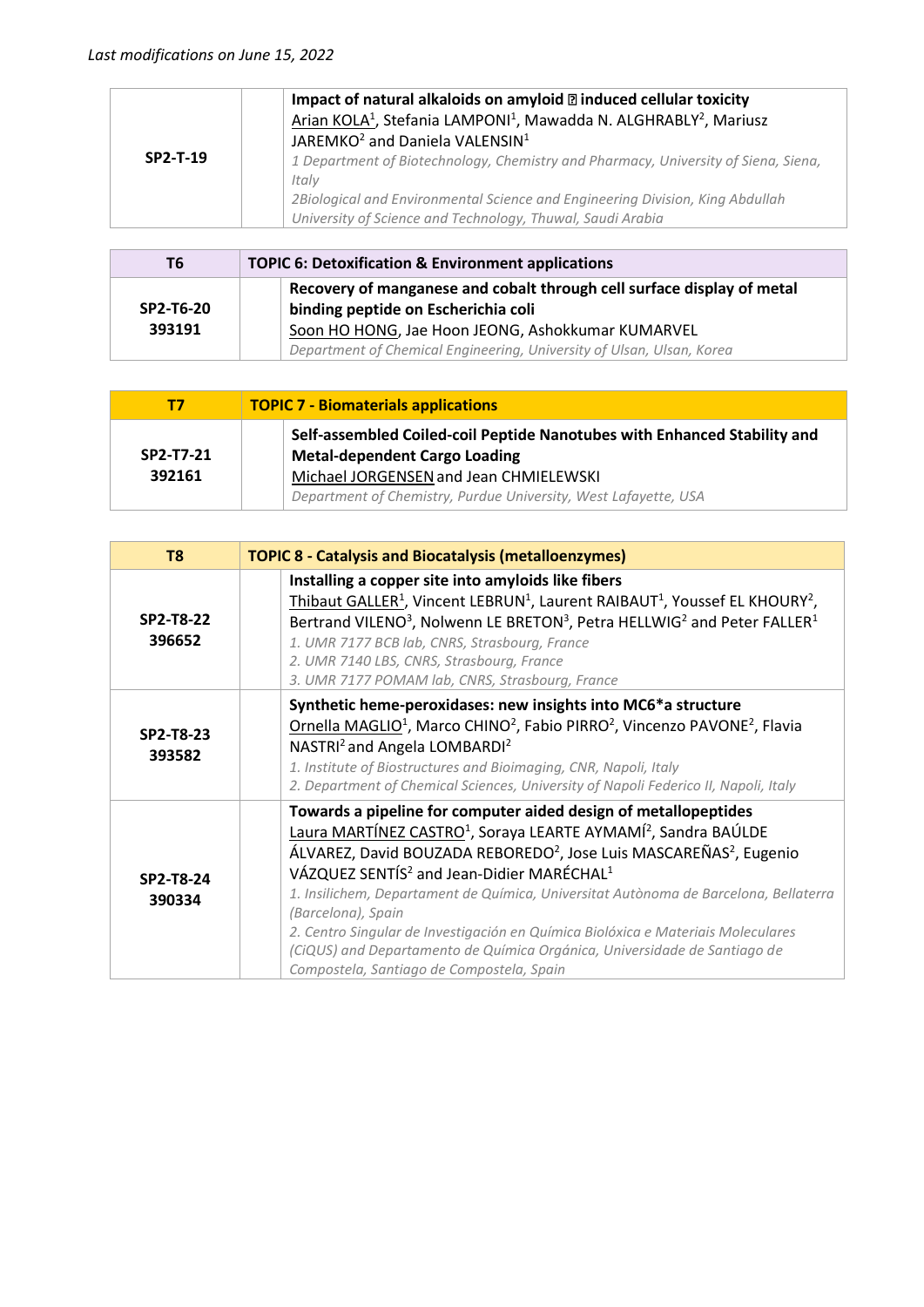|            | Impact of natural alkaloids on amyloid $\mathbb B$ induced cellular toxicity<br>Arian KOLA <sup>1</sup> , Stefania LAMPONI <sup>1</sup> , Mawadda N. ALGHRABLY <sup>2</sup> , Mariusz |
|------------|---------------------------------------------------------------------------------------------------------------------------------------------------------------------------------------|
| $SP2-T-19$ | JAREMKO <sup>2</sup> and Daniela VALENSIN <sup>1</sup><br>1 Department of Biotechnology, Chemistry and Pharmacy, University of Siena, Siena,                                          |
|            | Italv                                                                                                                                                                                 |
|            | 2Biological and Environmental Science and Engineering Division, King Abdullah                                                                                                         |
|            | University of Science and Technology, Thuwal, Saudi Arabia                                                                                                                            |

| T6        | <b>TOPIC 6: Detoxification &amp; Environment applications</b>                                                              |
|-----------|----------------------------------------------------------------------------------------------------------------------------|
| SP2-T6-20 | Recovery of manganese and cobalt through cell surface display of metal<br>binding peptide on Escherichia coli              |
| 393191    | Soon HO HONG, Jae Hoon JEONG, Ashokkumar KUMARVEL<br>Department of Chemical Engineering, University of Ulsan, Ulsan, Korea |

| Т7        | <b>TOPIC 7 - Biomaterials applications</b>                                                                       |
|-----------|------------------------------------------------------------------------------------------------------------------|
| SP2-T7-21 | Self-assembled Coiled-coil Peptide Nanotubes with Enhanced Stability and<br><b>Metal-dependent Cargo Loading</b> |
| 392161    | Michael JORGENSEN and Jean CHMIELEWSKI<br>Department of Chemistry, Purdue University, West Lafayette, USA        |

| T <sub>8</sub>      | <b>TOPIC 8 - Catalysis and Biocatalysis (metalloenzymes)</b>                                                                                                                                                                                                                                                                                                                                                                                                                                                                                                                                                                                             |
|---------------------|----------------------------------------------------------------------------------------------------------------------------------------------------------------------------------------------------------------------------------------------------------------------------------------------------------------------------------------------------------------------------------------------------------------------------------------------------------------------------------------------------------------------------------------------------------------------------------------------------------------------------------------------------------|
| SP2-T8-22<br>396652 | Installing a copper site into amyloids like fibers<br>Thibaut GALLER <sup>1</sup> , Vincent LEBRUN <sup>1</sup> , Laurent RAIBAUT <sup>1</sup> , Youssef EL KHOURY <sup>2</sup> ,<br>Bertrand VILENO <sup>3</sup> , Nolwenn LE BRETON <sup>3</sup> , Petra HELLWIG <sup>2</sup> and Peter FALLER <sup>1</sup><br>1. UMR 7177 BCB lab, CNRS, Strasbourg, France<br>2. UMR 7140 LBS, CNRS, Strasbourg, France<br>3. UMR 7177 POMAM lab, CNRS, Strasbourg, France                                                                                                                                                                                           |
| SP2-T8-23<br>393582 | Synthetic heme-peroxidases: new insights into MC6*a structure<br>Ornella MAGLIO <sup>1</sup> , Marco CHINO <sup>2</sup> , Fabio PIRRO <sup>2</sup> , Vincenzo PAVONE <sup>2</sup> , Flavia<br>NASTRI <sup>2</sup> and Angela LOMBARDI <sup>2</sup><br>1. Institute of Biostructures and Bioimaging, CNR, Napoli, Italy<br>2. Department of Chemical Sciences, University of Napoli Federico II, Napoli, Italy                                                                                                                                                                                                                                            |
| SP2-T8-24<br>390334 | Towards a pipeline for computer aided design of metallopeptides<br>Laura MARTÍNEZ CASTRO <sup>1</sup> , Soraya LEARTE AYMAMÍ <sup>2</sup> , Sandra BAÚLDE<br>ÁLVAREZ, David BOUZADA REBOREDO <sup>2</sup> , Jose Luis MASCAREÑAS <sup>2</sup> , Eugenio<br>VÁZQUEZ SENTÍS <sup>2</sup> and Jean-Didier MARÉCHAL <sup>1</sup><br>1. Insilichem, Departament de Química, Universitat Autònoma de Barcelona, Bellaterra<br>(Barcelona), Spain<br>2. Centro Singular de Investigación en Química Biolóxica e Materiais Moleculares<br>(CiQUS) and Departamento de Química Orgánica, Universidade de Santiago de<br>Compostela, Santiago de Compostela, Spain |